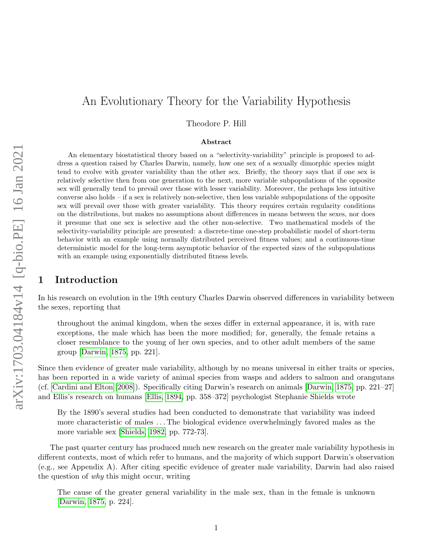Theodore P. Hill

#### Abstract

An elementary biostatistical theory based on a "selectivity-variability" principle is proposed to address a question raised by Charles Darwin, namely, how one sex of a sexually dimorphic species might tend to evolve with greater variability than the other sex. Briefly, the theory says that if one sex is relatively selective then from one generation to the next, more variable subpopulations of the opposite sex will generally tend to prevail over those with lesser variability. Moreover, the perhaps less intuitive converse also holds – if a sex is relatively non-selective, then less variable subpopulations of the opposite sex will prevail over those with greater variability. This theory requires certain regularity conditions on the distributions, but makes no assumptions about differences in means between the sexes, nor does it presume that one sex is selective and the other non-selective. Two mathematical models of the selectivity-variability principle are presented: a discrete-time one-step probabilistic model of short-term behavior with an example using normally distributed perceived fitness values; and a continuous-time deterministic model for the long-term asymptotic behavior of the expected sizes of the subpopulations with an example using exponentially distributed fitness levels.

#### 1 Introduction

In his research on evolution in the 19th century Charles Darwin observed differences in variability between the sexes, reporting that

throughout the animal kingdom, when the sexes differ in external appearance, it is, with rare exceptions, the male which has been the more modified; for, generally, the female retains a closer resemblance to the young of her own species, and to other adult members of the same group [\[Darwin, 1875,](#page-26-0) pp. 221].

Since then evidence of greater male variability, although by no means universal in either traits or species, has been reported in a wide variety of animal species from wasps and adders to salmon and orangutans (cf. [Cardini and Elton](#page-26-1) [\[2008\]](#page-26-1)). Specifically citing Darwin's research on animals [\[Darwin, 1875,](#page-26-0) pp. 221–27] and Ellis's research on humans [\[Ellis, 1894,](#page-27-0) pp. 358–372] psychologist Stephanie Shields wrote

By the 1890's several studies had been conducted to demonstrate that variability was indeed more characteristic of males . . . The biological evidence overwhelmingly favored males as the more variable sex [\[Shields, 1982,](#page-31-0) pp. 772-73].

The past quarter century has produced much new research on the greater male variability hypothesis in different contexts, most of which refer to humans, and the majority of which support Darwin's observation (e.g., see Appendix A). After citing specific evidence of greater male variability, Darwin had also raised the question of why this might occur, writing

The cause of the greater general variability in the male sex, than in the female is unknown [\[Darwin, 1875,](#page-26-0) p. 224].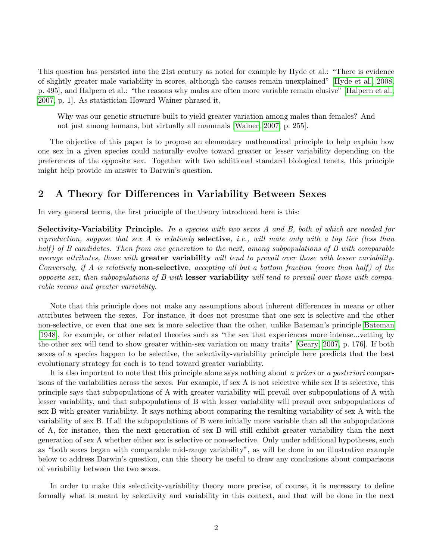This question has persisted into the 21st century as noted for example by Hyde et al.: "There is evidence of slightly greater male variability in scores, although the causes remain unexplained" [\[Hyde et al., 2008,](#page-28-0) p. 495], and Halpern et al.: "the reasons why males are often more variable remain elusive" [\[Halpern et al.,](#page-28-1) [2007,](#page-28-1) p. 1]. As statistician Howard Wainer phrased it,

Why was our genetic structure built to yield greater variation among males than females? And not just among humans, but virtually all mammals [\[Wainer, 2007,](#page-32-0) p. 255].

The objective of this paper is to propose an elementary mathematical principle to help explain how one sex in a given species could naturally evolve toward greater or lesser variability depending on the preferences of the opposite sex. Together with two additional standard biological tenets, this principle might help provide an answer to Darwin's question.

### 2 A Theory for Differences in Variability Between Sexes

In very general terms, the first principle of the theory introduced here is this:

Selectivity-Variability Principle. In a species with two sexes A and B, both of which are needed for reproduction, suppose that sex A is relatively **selective**, *i.e.*, will mate only with a top tier (less than half) of B candidates. Then from one generation to the next, among subpopulations of B with comparable average attributes, those with greater variability will tend to prevail over those with lesser variability. Conversely, if A is relatively **non-selective**, accepting all but a bottom fraction (more than half) of the opposite sex, then subpopulations of  $B$  with lesser variability will tend to prevail over those with comparable means and greater variability.

Note that this principle does not make any assumptions about inherent differences in means or other attributes between the sexes. For instance, it does not presume that one sex is selective and the other non-selective, or even that one sex is more selective than the other, unlike Bateman's principle [Bateman](#page-25-0) [\[1948\]](#page-25-0), for example, or other related theories such as "the sex that experiences more intense...vetting by the other sex will tend to show greater within-sex variation on many traits" [\[Geary, 2007,](#page-27-1) p. 176]. If both sexes of a species happen to be selective, the selectivity-variability principle here predicts that the best evolutionary strategy for each is to tend toward greater variability.

It is also important to note that this principle alone says nothing about a priori or a posteriori comparisons of the variabilities across the sexes. For example, if sex A is not selective while sex B is selective, this principle says that subpopulations of A with greater variability will prevail over subpopulations of A with lesser variability, and that subpopulations of B with lesser variability will prevail over subpopulations of sex B with greater variability. It says nothing about comparing the resulting variability of sex A with the variability of sex B. If all the subpopulations of B were initially more variable than all the subpopulations of A, for instance, then the next generation of sex B will still exhibit greater variability than the next generation of sex A whether either sex is selective or non-selective. Only under additional hypotheses, such as "both sexes began with comparable mid-range variability", as will be done in an illustrative example below to address Darwin's question, can this theory be useful to draw any conclusions about comparisons of variability between the two sexes.

In order to make this selectivity-variability theory more precise, of course, it is necessary to define formally what is meant by selectivity and variability in this context, and that will be done in the next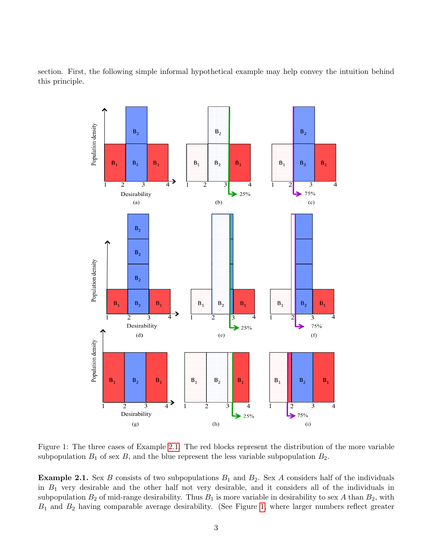section. First, the following simple informal hypothetical example may help convey the intuition behind this principle.



<span id="page-2-1"></span>Figure 1: The three cases of Example [2.1:](#page-2-0) The red blocks represent the distribution of the more variable subpopulation  $B_1$  of sex  $B$ , and the blue represent the less variable subpopulation  $B_2$ .

<span id="page-2-0"></span>**Example 2.1.** Sex B consists of two subpopulations  $B_1$  and  $B_2$ . Sex A considers half of the individuals in  $B_1$  very desirable and the other half not very desirable, and it considers all of the individuals in subpopulation  $B_2$  of mid-range desirability. Thus  $B_1$  is more variable in desirability to sex A than  $B_2$ , with  $B_1$  and  $B_2$  having comparable average desirability. (See Figure [1,](#page-2-1) where larger numbers reflect greater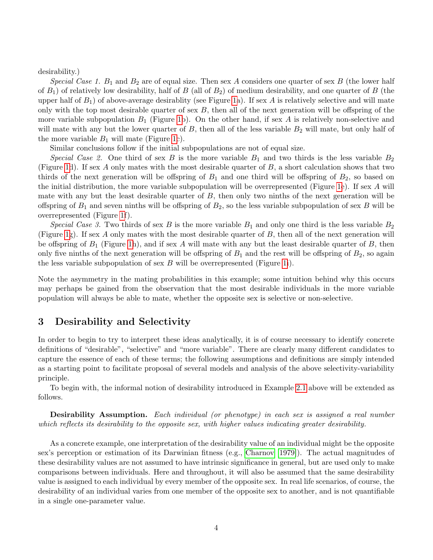desirability.)

Special Case 1.  $B_1$  and  $B_2$  are of equal size. Then sex A considers one quarter of sex B (the lower half of  $B_1$ ) of relatively low desirability, half of B (all of  $B_2$ ) of medium desirability, and one quarter of B (the upper half of  $B_1$ ) of above-average desirablity (see Figure [1a](#page-2-1)). If sex A is relatively selective and will mate only with the top most desirable quarter of sex  $B$ , then all of the next generation will be offspring of the more variable subpopulation  $B_1$  (Figure [1b](#page-2-1)). On the other hand, if sex A is relatively non-selective and will mate with any but the lower quarter of  $B$ , then all of the less variable  $B_2$  will mate, but only half of the more variable  $B_1$  will mate (Figure [1c](#page-2-1)).

Similar conclusions follow if the initial subpopulations are not of equal size.

Special Case 2. One third of sex B is the more variable  $B_1$  and two thirds is the less variable  $B_2$ (Figure [1d](#page-2-1)). If sex A only mates with the most desirable quarter of  $B$ , a short calculation shows that two thirds of the next generation will be offspring of  $B_1$  and one third will be offspring of  $B_2$ , so based on the initial distribution, the more variable subpopulation will be overrepresented (Figure [1e](#page-2-1)). If sex A will mate with any but the least desirable quarter of  $B$ , then only two ninths of the next generation will be offspring of  $B_1$  and seven ninths will be offspring of  $B_2$ , so the less variable subpopulation of sex B will be overrepresented (Figure [1f](#page-2-1)).

Special Case 3. Two thirds of sex B is the more variable  $B_1$  and only one third is the less variable  $B_2$ (Figure [1g](#page-2-1)). If sex A only mates with the most desirable quarter of B, then all of the next generation will be offspring of  $B_1$  (Figure [1h](#page-2-1)), and if sex A will mate with any but the least desirable quarter of B, then only five ninths of the next generation will be offspring of  $B_1$  and the rest will be offspring of  $B_2$ , so again the less variable subpopulation of sex  $B$  will be overrepresented (Figure [1i](#page-2-1)).

Note the asymmetry in the mating probabilities in this example; some intuition behind why this occurs may perhaps be gained from the observation that the most desirable individuals in the more variable population will always be able to mate, whether the opposite sex is selective or non-selective.

#### 3 Desirability and Selectivity

In order to begin to try to interpret these ideas analytically, it is of course necessary to identify concrete definitions of "desirable", "selective" and "more variable". There are clearly many different candidates to capture the essence of each of these terms; the following assumptions and definitions are simply intended as a starting point to facilitate proposal of several models and analysis of the above selectivity-variability principle.

To begin with, the informal notion of desirability introduced in Example [2.1](#page-2-0) above will be extended as follows.

Desirability Assumption. Each individual (or phenotype) in each sex is assigned a real number which reflects its desirability to the opposite sex, with higher values indicating greater desirability.

As a concrete example, one interpretation of the desirability value of an individual might be the opposite sex's perception or estimation of its Darwinian fitness (e.g., [Charnov](#page-26-2) [\[1979\]](#page-26-2)). The actual magnitudes of these desirability values are not assumed to have intrinsic significance in general, but are used only to make comparisons between individuals. Here and throughout, it will also be assumed that the same desirability value is assigned to each individual by every member of the opposite sex. In real life scenarios, of course, the desirability of an individual varies from one member of the opposite sex to another, and is not quantifiable in a single one-parameter value.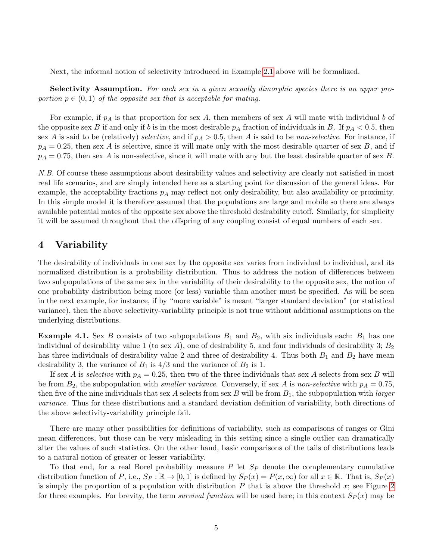Next, the informal notion of selectivity introduced in Example [2.1](#page-2-0) above will be formalized.

Selectivity Assumption. For each sex in a given sexually dimorphic species there is an upper proportion  $p \in (0, 1)$  of the opposite sex that is acceptable for mating.

For example, if  $p_A$  is that proportion for sex A, then members of sex A will mate with individual b of the opposite sex B if and only if b is in the most desirable  $p_A$  fraction of individuals in B. If  $p_A < 0.5$ , then sex A is said to be (relatively) selective, and if  $p_A > 0.5$ , then A is said to be non-selective. For instance, if  $p_A = 0.25$ , then sex A is selective, since it will mate only with the most desirable quarter of sex B, and if  $p_A = 0.75$ , then sex A is non-selective, since it will mate with any but the least desirable quarter of sex B.

N.B. Of course these assumptions about desirability values and selectivity are clearly not satisfied in most real life scenarios, and are simply intended here as a starting point for discussion of the general ideas. For example, the acceptability fractions  $p_A$  may reflect not only desirability, but also availability or proximity. In this simple model it is therefore assumed that the populations are large and mobile so there are always available potential mates of the opposite sex above the threshold desirability cutoff. Similarly, for simplicity it will be assumed throughout that the offspring of any coupling consist of equal numbers of each sex.

#### 4 Variability

The desirability of individuals in one sex by the opposite sex varies from individual to individual, and its normalized distribution is a probability distribution. Thus to address the notion of differences between two subpopulations of the same sex in the variability of their desirability to the opposite sex, the notion of one probability distribution being more (or less) variable than another must be specified. As will be seen in the next example, for instance, if by "more variable" is meant "larger standard deviation" (or statistical variance), then the above selectivity-variability principle is not true without additional assumptions on the underlying distributions.

<span id="page-4-0"></span>**Example 4.1.** Sex B consists of two subpopulations  $B_1$  and  $B_2$ , with six individuals each:  $B_1$  has one individual of desirability value 1 (to sex A), one of desirability 5, and four individuals of desirability 3;  $B_2$ has three individuals of desirability value 2 and three of desirability 4. Thus both  $B_1$  and  $B_2$  have mean desirability 3, the variance of  $B_1$  is  $4/3$  and the variance of  $B_2$  is 1.

If sex A is selective with  $p_A = 0.25$ , then two of the three individuals that sex A selects from sex B will be from  $B_2$ , the subpopulation with *smaller variance*. Conversely, if sex A is non-selective with  $p_A = 0.75$ , then five of the nine individuals that sex A selects from sex B will be from  $B_1$ , the subpopulation with *larger* variance. Thus for these distributions and a standard deviation definition of variability, both directions of the above selectivity-variability principle fail.

There are many other possibilities for definitions of variability, such as comparisons of ranges or Gini mean differences, but those can be very misleading in this setting since a single outlier can dramatically alter the values of such statistics. On the other hand, basic comparisons of the tails of distributions leads to a natural notion of greater or lesser variability.

To that end, for a real Borel probability measure  $P$  let  $S_P$  denote the complementary cumulative distribution function of P, i.e.,  $S_P : \mathbb{R} \to [0,1]$  is defined by  $S_P(x) = P(x,\infty)$  for all  $x \in \mathbb{R}$ . That is,  $S_P(x)$ is simply the proportion of a population with distribution  $P$  that is above the threshold  $x$ ; see Figure [2](#page-5-0) for three examples. For brevity, the term survival function will be used here; in this context  $Sp(x)$  may be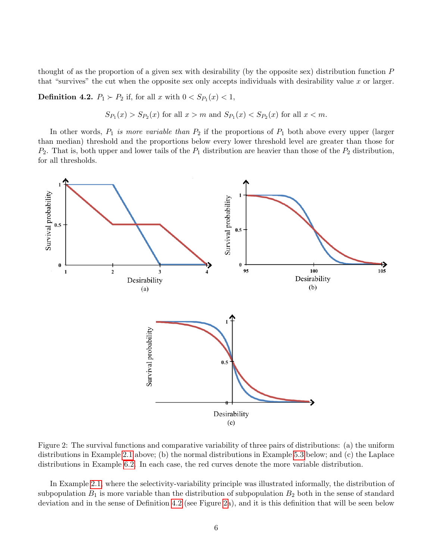thought of as the proportion of a given sex with desirability (by the opposite sex) distribution function P that "survives" the cut when the opposite sex only accepts individuals with desirability value  $x$  or larger.

<span id="page-5-1"></span>**Definition 4.2.**  $P_1 \succ P_2$  if, for all x with  $0 < S_{P_1}(x) < 1$ ,

 $S_{P_1}(x) > S_{P_2}(x)$  for all  $x > m$  and  $S_{P_1}(x) < S_{P_2}(x)$  for all  $x < m$ .

In other words,  $P_1$  is more variable than  $P_2$  if the proportions of  $P_1$  both above every upper (larger than median) threshold and the proportions below every lower threshold level are greater than those for  $P_2$ . That is, both upper and lower tails of the  $P_1$  distribution are heavier than those of the  $P_2$  distribution, for all thresholds.



<span id="page-5-0"></span>Figure 2: The survival functions and comparative variability of three pairs of distributions: (a) the uniform distributions in Example [2.1](#page-2-0) above; (b) the normal distributions in Example [5.3](#page-8-0) below; and (c) the Laplace distributions in Example [6.2.](#page-12-0) In each case, the red curves denote the more variable distribution.

In Example [2.1,](#page-2-0) where the selectivity-variability principle was illustrated informally, the distribution of subpopulation  $B_1$  is more variable than the distribution of subpopulation  $B_2$  both in the sense of standard deviation and in the sense of Definition [4.2](#page-5-1) (see Figure [2a](#page-5-0)), and it is this definition that will be seen below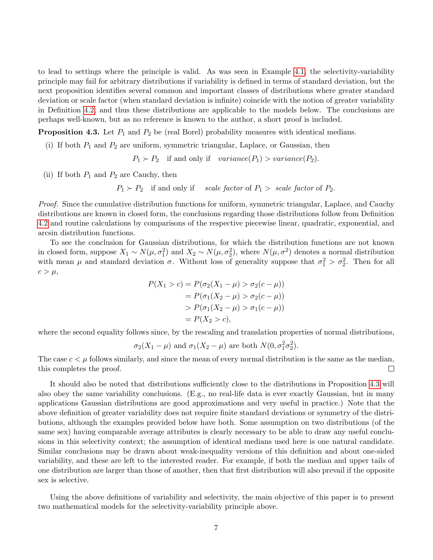to lead to settings where the principle is valid. As was seen in Example [4.1,](#page-4-0) the selectivity-variability principle may fail for arbitrary distributions if variability is defined in terms of standard deviation, but the next proposition identifies several common and important classes of distributions where greater standard deviation or scale factor (when standard deviation is infinite) coincide with the notion of greater variability in Definition [4.2,](#page-5-1) and thus these distributions are applicable to the models below. The conclusions are perhaps well-known, but as no reference is known to the author, a short proof is included.

<span id="page-6-0"></span>**Proposition 4.3.** Let  $P_1$  and  $P_2$  be (real Borel) probability measures with identical medians.

(i) If both  $P_1$  and  $P_2$  are uniform, symmetric triangular, Laplace, or Gaussian, then

 $P_1 \succ P_2$  if and only if variance(P<sub>1</sub>) > variance(P<sub>2</sub>).

(ii) If both  $P_1$  and  $P_2$  are Cauchy, then

 $P_1 \succ P_2$  if and only if scale factor of  $P_1 >$  scale factor of  $P_2$ .

Proof. Since the cumulative distribution functions for uniform, symmetric triangular, Laplace, and Cauchy distributions are known in closed form, the conclusions regarding those distributions follow from Definition [4.2](#page-5-1) and routine calculations by comparisons of the respective piecewise linear, quadratic, exponential, and arcsin distribution functions.

To see the conclusion for Gaussian distributions, for which the distribution functions are not known in closed form, suppose  $X_1 \sim N(\mu, \sigma_1^2)$  and  $X_2 \sim N(\mu, \sigma_2^2)$ , where  $N(\mu, \sigma^2)$  denotes a normal distribution with mean  $\mu$  and standard deviation  $\sigma$ . Without loss of generality suppose that  $\sigma_1^2 > \sigma_2^2$ . Then for all  $c > \mu$ ,

$$
P(X_1 > c) = P(\sigma_2(X_1 - \mu) > \sigma_2(c - \mu))
$$
  
=  $P(\sigma_1(X_2 - \mu) > \sigma_2(c - \mu))$   
>  $P(\sigma_1(X_2 - \mu) > \sigma_1(c - \mu))$   
=  $P(X_2 > c)$ ,

where the second equality follows since, by the rescaling and translation properties of normal distributions,

$$
\sigma_2(X_1 - \mu)
$$
 and  $\sigma_1(X_2 - \mu)$  are both  $N(0, \sigma_1^2 \sigma_2^2)$ .

The case  $c < \mu$  follows similarly, and since the mean of every normal distribution is the same as the median, this completes the proof.  $\Box$ 

It should also be noted that distributions sufficiently close to the distributions in Proposition [4.3](#page-6-0) will also obey the same variability conclusions. (E.g., no real-life data is ever exactly Gaussian, but in many applications Gaussian distributions are good approximations and very useful in practice.) Note that the above definition of greater variability does not require finite standard deviations or symmetry of the distributions, although the examples provided below have both. Some assumption on two distributions (of the same sex) having comparable average attributes is clearly necessary to be able to draw any useful conclusions in this selectivity context; the assumption of identical medians used here is one natural candidate. Similar conclusions may be drawn about weak-inequality versions of this definition and about one-sided variability, and these are left to the interested reader. For example, if both the median and upper tails of one distribution are larger than those of another, then that first distribution will also prevail if the opposite sex is selective.

Using the above definitions of variability and selectivity, the main objective of this paper is to present two mathematical models for the selectivity-variability principle above.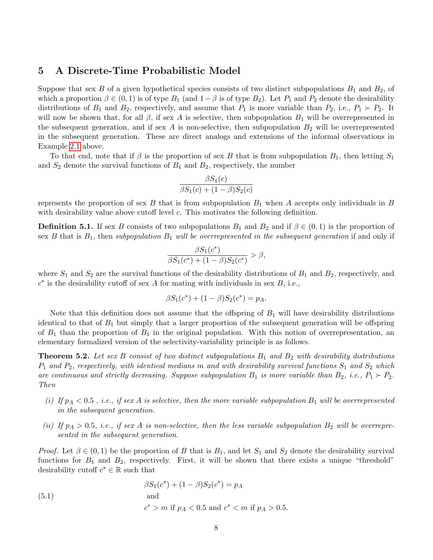#### 5 A Discrete-Time Probabilistic Model

Suppose that sex B of a given hypothetical species consists of two distinct subpopulations  $B_1$  and  $B_2$ , of which a proportion  $\beta \in (0,1)$  is of type  $B_1$  (and  $1-\beta$  is of type  $B_2$ ). Let  $P_1$  and  $P_2$  denote the desirability distributions of  $B_1$  and  $B_2$ , respectively, and assume that  $P_1$  is more variable than  $P_2$ , i.e.,  $P_1 \succ P_2$ . It will now be shown that, for all  $\beta$ , if sex A is selective, then subpopulation  $B_1$  will be overrepresented in the subsequent generation, and if sex A is non-selective, then subpopulation  $B_2$  will be overrepresented in the subsequent generation. These are direct analogs and extensions of the informal observations in Example [2.1](#page-2-0) above.

To that end, note that if  $\beta$  is the proportion of sex B that is from subpopulation  $B_1$ , then letting  $S_1$ and  $S_2$  denote the survival functions of  $B_1$  and  $B_2$ , respectively, the number

$$
\frac{\beta S_1(c)}{\beta S_1(c) + (1 - \beta)S_2(c)}
$$

represents the proportion of sex B that is from subpopulation  $B_1$  when A accepts only individuals in B with desirability value above cutoff level c. This motivates the following definition.

<span id="page-7-1"></span>**Definition 5.1.** If sex B consists of two subpopulations  $B_1$  and  $B_2$  and if  $\beta \in (0,1)$  is the proportion of sex B that is  $B_1$ , then subpopulation  $B_1$  will be overrepresented in the subsequent generation if and only if

$$
\frac{\beta S_1(c^*)}{\beta S_1(c^*) + (1 - \beta)S_2(c^*)} > \beta,
$$

where  $S_1$  and  $S_2$  are the survival functions of the desirability distributions of  $B_1$  and  $B_2$ , respectively, and  $c^*$  is the desirability cutoff of sex A for mating with individuals in sex B, i.e.,

$$
\beta S_1(c^*) + (1 - \beta)S_2(c^*) = p_A.
$$

Note that this definition does not assume that the offspring of  $B_1$  will have desirability distributions identical to that of  $B_1$  but simply that a larger proportion of the subsequent generation will be offspring of  $B_1$  than the proportion of  $B_1$  in the original population. With this notion of overrepresentation, an elementary formalized version of the selectivity-variability principle is as follows.

<span id="page-7-2"></span>**Theorem 5.2.** Let sex B consist of two distinct subpopulations  $B_1$  and  $B_2$  with desirability distributions  $P_1$  and  $P_2$ , respectively, with identical medians m and with desirability survival functions  $S_1$  and  $S_2$  which are continuous and strictly decreasing. Suppose subpopulation  $B_1$  is more variable than  $B_2$ , i.e.,  $P_1 \succ P_2$ . Then

- (i) If  $p_A < 0.5$ , i.e., if sex A is selective, then the more variable subpopulation  $B_1$  will be overrepresented in the subsequent generation.
- (ii) If  $p_A > 0.5$ , i.e., if sex A is non-selective, then the less variable subpopulation  $B_2$  will be overrepresented in the subsequent generation.

*Proof.* Let  $\beta \in (0,1)$  be the proportion of B that is  $B_1$ , and let  $S_1$  and  $S_2$  denote the desirability survival functions for  $B_1$  and  $B_2$ , respectively. First, it will be shown that there exists a unique "threshold" desirability cutoff  $c^* \in \mathbb{R}$  such that

<span id="page-7-0"></span>(5.1) 
$$
\beta S_1(c^*) + (1 - \beta)S_2(c^*) = p_A
$$
  
and  

$$
c^* > m \text{ if } p_A < 0.5 \text{ and } c^* < m \text{ if } p_A > 0.5.
$$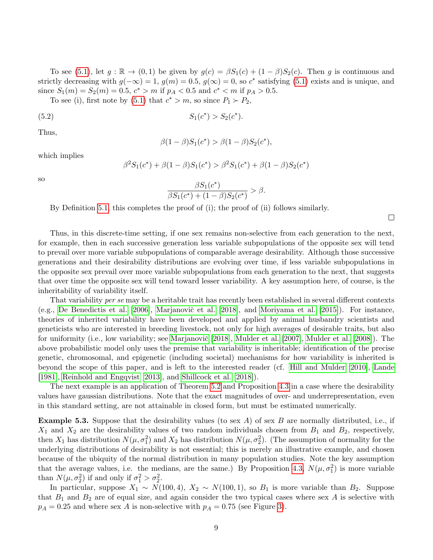To see [\(5.1\)](#page-7-0), let  $g : \mathbb{R} \to (0,1)$  be given by  $g(c) = \beta S_1(c) + (1-\beta)S_2(c)$ . Then g is continuous and strictly decreasing with  $g(-\infty) = 1$ ,  $g(m) = 0.5$ ,  $g(\infty) = 0$ , so  $c^*$  satisfying [\(5.1\)](#page-7-0) exists and is unique, and since  $S_1(m) = S_2(m) = 0.5$ ,  $c^* > m$  if  $p_A < 0.5$  and  $c^* < m$  if  $p_A > 0.5$ .

To see (i), first note by [\(5.1\)](#page-7-0) that  $c^* > m$ , so since  $P_1 \succ P_2$ ,

(5.2) 
$$
S_1(c^*) > S_2(c^*).
$$

Thus,

$$
\beta(1 - \beta)S_1(c^*) > \beta(1 - \beta)S_2(c^*),
$$

which implies

$$
\beta^{2}S_{1}(c^{*}) + \beta(1-\beta)S_{1}(c^{*}) > \beta^{2}S_{1}(c^{*}) + \beta(1-\beta)S_{2}(c^{*})
$$

so

$$
\frac{\beta S_1(c^*)}{\beta S_1(c^*) + (1 - \beta)S_2(c^*)} > \beta.
$$

By Definition [5.1,](#page-7-1) this completes the proof of (i); the proof of (ii) follows similarly.

 $\Box$ 

Thus, in this discrete-time setting, if one sex remains non-selective from each generation to the next, for example, then in each successive generation less variable subpopulations of the opposite sex will tend to prevail over more variable subpopulations of comparable average desirability. Although those successive generations and their desirability distributions are evolving over time, if less variable subpopulations in the opposite sex prevail over more variable subpopulations from each generation to the next, that suggests that over time the opposite sex will tend toward lesser variability. A key assumption here, of course, is the inheritability of variability itself.

That variability per se may be a heritable trait has recently been established in several different contexts (e.g., [De Benedictis et al.](#page-26-3) [\[2006\]](#page-26-3), Marjanovič et al. [\[2018\]](#page-30-0), and [Moriyama et al.](#page-30-1) [\[2015\]](#page-30-1)). For instance, theories of inherited variability have been developed and applied by animal husbandry scientists and geneticists who are interested in breeding livestock, not only for high averages of desirable traits, but also for uniformity (i.e., low variability; see Marjanovič [\[2018\]](#page-30-2), [Mulder et al.](#page-31-2) [\[2007\]](#page-31-1), Mulder et al. [\[2008\]](#page-31-2)). The above probabilistic model only uses the premise that variability is inheritable; identification of the precise genetic, chromosomal, and epigenetic (including societal) mechanisms for how variability is inherited is beyond the scope of this paper, and is left to the interested reader (cf. [Hill and Mulder](#page-28-2) [\[2010\]](#page-28-2), [Lande](#page-29-0) [\[1981\]](#page-29-0), [Reinhold and Engqvist](#page-31-3) [\[2013\]](#page-31-3), and [Shillcock et al.](#page-32-1) [\[2018\]](#page-32-1)).

The next example is an application of Theorem [5.2](#page-7-2) and Proposition [4.3](#page-6-0) in a case where the desirability values have gaussian distributions. Note that the exact magnitudes of over- and underrepresentation, even in this standard setting, are not attainable in closed form, but must be estimated numerically.

<span id="page-8-0"></span>**Example 5.3.** Suppose that the desirability values (to sex A) of sex B are normally distributed, i.e., if  $X_1$  and  $X_2$  are the desirability values of two random individuals chosen from  $B_1$  and  $B_2$ , respectively, then  $X_1$  has distribution  $N(\mu, \sigma_1^2)$  and  $X_2$  has distribution  $N(\mu, \sigma_2^2)$ . (The assumption of normality for the underlying distributions of desirability is not essential; this is merely an illustrative example, and chosen because of the ubiquity of the normal distribution in many population studies. Note the key assumption that the average values, i.e. the medians, are the same.) By Proposition [4.3,](#page-6-0)  $N(\mu, \sigma_1^2)$  is more variable than  $N(\mu, \sigma_2^2)$  if and only if  $\sigma_1^2 > \sigma_2^2$ .

In particular, suppose  $X_1 \sim N(100, 4)$ ,  $X_2 \sim N(100, 1)$ , so  $B_1$  is more variable than  $B_2$ . Suppose that  $B_1$  and  $B_2$  are of equal size, and again consider the two typical cases where sex A is selective with  $p_A = 0.25$  and where sex A is non-selective with  $p_A = 0.75$  (see Figure [3\)](#page-9-0).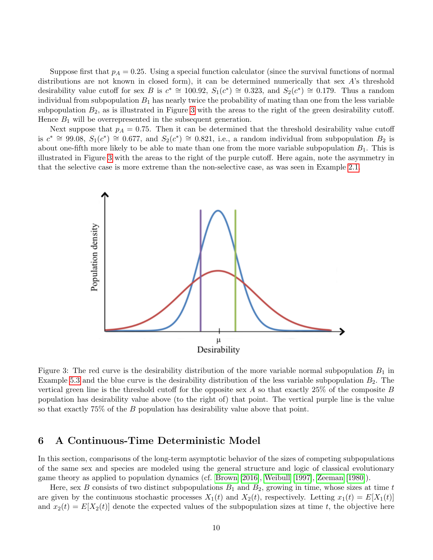Suppose first that  $p_A = 0.25$ . Using a special function calculator (since the survival functions of normal distributions are not known in closed form), it can be determined numerically that sex A's threshold desirability value cutoff for sex B is  $c^* \cong 100.92$ ,  $S_1(c^*) \cong 0.323$ , and  $S_2(c^*) \cong 0.179$ . Thus a random individual from subpopulation  $B_1$  has nearly twice the probability of mating than one from the less variable subpopulation  $B_2$ , as is illustrated in Figure [3](#page-9-0) with the areas to the right of the green desirability cutoff. Hence  $B_1$  will be overrepresented in the subsequent generation.

Next suppose that  $p_A = 0.75$ . Then it can be determined that the threshold desirability value cutoff is  $c^* \cong 99.08$ ,  $S_1(c^*) \cong 0.677$ , and  $S_2(c^*) \cong 0.821$ , i.e., a random individual from subpopulation  $B_2$  is about one-fifth more likely to be able to mate than one from the more variable subpopulation  $B_1$ . This is illustrated in Figure [3](#page-9-0) with the areas to the right of the purple cutoff. Here again, note the asymmetry in that the selective case is more extreme than the non-selective case, as was seen in Example [2.1.](#page-2-0)



<span id="page-9-0"></span>Figure 3: The red curve is the desirability distribution of the more variable normal subpopulation  $B_1$  in Example [5.3](#page-8-0) and the blue curve is the desirability distribution of the less variable subpopulation  $B_2$ . The vertical green line is the threshold cutoff for the opposite sex A so that exactly  $25\%$  of the composite B population has desirability value above (to the right of) that point. The vertical purple line is the value so that exactly 75% of the B population has desirability value above that point.

### 6 A Continuous-Time Deterministic Model

In this section, comparisons of the long-term asymptotic behavior of the sizes of competing subpopulations of the same sex and species are modeled using the general structure and logic of classical evolutionary game theory as applied to population dynamics (cf. [Brown](#page-26-4) [\[2016\]](#page-26-4), [Weibull](#page-32-2) [\[1997\]](#page-32-2), [Zeeman](#page-33-0) [\[1980\]](#page-33-0)).

Here, sex B consists of two distinct subpopulations  $B_1$  and  $B_2$ , growing in time, whose sizes at time t are given by the continuous stochastic processes  $X_1(t)$  and  $X_2(t)$ , respectively. Letting  $x_1(t) = E[X_1(t)]$ and  $x_2(t) = E[X_2(t)]$  denote the expected values of the subpopulation sizes at time t, the objective here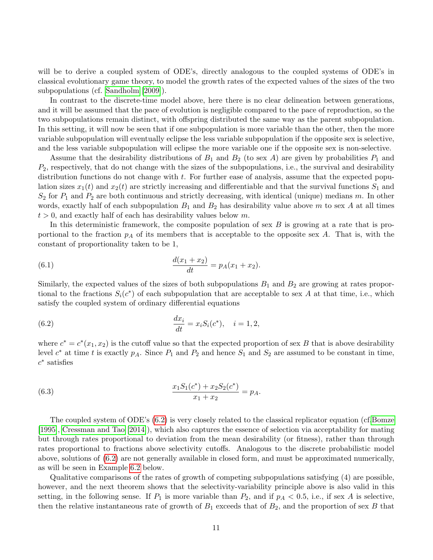will be to derive a coupled system of ODE's, directly analogous to the coupled systems of ODE's in classical evolutionary game theory, to model the growth rates of the expected values of the sizes of the two subpopulations (cf. [Sandholm](#page-31-4) [\[2009\]](#page-31-4)).

In contrast to the discrete-time model above, here there is no clear delineation between generations, and it will be assumed that the pace of evolution is negligible compared to the pace of reproduction, so the two subpopulations remain distinct, with offspring distributed the same way as the parent subpopulation. In this setting, it will now be seen that if one subpopulation is more variable than the other, then the more variable subpopulation will eventually eclipse the less variable subpopulation if the opposite sex is selective, and the less variable subpopulation will eclipse the more variable one if the opposite sex is non-selective.

Assume that the desirability distributions of  $B_1$  and  $B_2$  (to sex A) are given by probabilities  $P_1$  and  $P_2$ , respectively, that do not change with the sizes of the subpopulations, i.e., the survival and desirability distribution functions do not change with t. For further ease of analysis, assume that the expected population sizes  $x_1(t)$  and  $x_2(t)$  are strictly increasing and differentiable and that the survival functions  $S_1$  and  $S_2$  for  $P_1$  and  $P_2$  are both continuous and strictly decreasing, with identical (unique) medians m. In other words, exactly half of each subpopulation  $B_1$  and  $B_2$  has desirability value above m to sex A at all times  $t > 0$ , and exactly half of each has desirability values below m.

<span id="page-10-1"></span>In this deterministic framework, the composite population of sex  $B$  is growing at a rate that is proportional to the fraction  $p_A$  of its members that is acceptable to the opposite sex A. That is, with the constant of proportionality taken to be 1,

(6.1) 
$$
\frac{d(x_1+x_2)}{dt}=p_A(x_1+x_2).
$$

Similarly, the expected values of the sizes of both subpopulations  $B_1$  and  $B_2$  are growing at rates proportional to the fractions  $S_i(c^*)$  of each subpopulation that are acceptable to sex A at that time, i.e., which satisfy the coupled system of ordinary differential equations

<span id="page-10-0"></span>(6.2) 
$$
\frac{dx_i}{dt} = x_i S_i(c^*), \quad i = 1, 2,
$$

where  $c^* = c^*(x_1, x_2)$  is the cutoff value so that the expected proportion of sex B that is above desirability level  $c^*$  at time t is exactly  $p_A$ . Since  $P_1$  and  $P_2$  and hence  $S_1$  and  $S_2$  are assumed to be constant in time,  $c^*$  satisfies

(6.3) 
$$
\frac{x_1 S_1(c^*) + x_2 S_2(c^*)}{x_1 + x_2} = p_A.
$$

The coupled system of ODE's [\(6.2\)](#page-10-0) is very closely related to the classical replicator equation (cf[.Bomze](#page-25-1) [\[1995\]](#page-25-1), [Cressman and Tao](#page-26-5) [\[2014\]](#page-26-5)), which also captures the essence of selection via acceptability for mating but through rates proportional to deviation from the mean desirability (or fitness), rather than through rates proportional to fractions above selectivity cutoffs. Analogous to the discrete probabilistic model above, solutions of [\(6.2\)](#page-10-0) are not generally available in closed form, and must be approximated numerically, as will be seen in Example [6.2](#page-12-0) below.

Qualitative comparisons of the rates of growth of competing subpopulations satisfying (4) are possible, however, and the next theorem shows that the selectivity-variability principle above is also valid in this setting, in the following sense. If  $P_1$  is more variable than  $P_2$ , and if  $p_A < 0.5$ , i.e., if sex A is selective, then the relative instantaneous rate of growth of  $B_1$  exceeds that of  $B_2$ , and the proportion of sex B that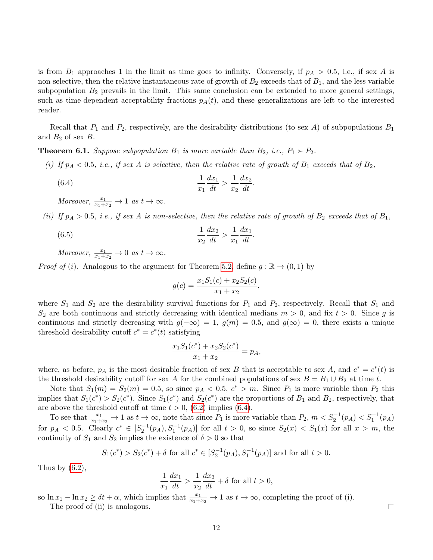is from  $B_1$  approaches 1 in the limit as time goes to infinity. Conversely, if  $p_A > 0.5$ , i.e., if sex A is non-selective, then the relative instantaneous rate of growth of  $B_2$  exceeds that of  $B_1$ , and the less variable subpopulation  $B_2$  prevails in the limit. This same conclusion can be extended to more general settings, such as time-dependent acceptability fractions  $p_A(t)$ , and these generalizations are left to the interested reader.

Recall that  $P_1$  and  $P_2$ , respectively, are the desirability distributions (to sex A) of subpopulations  $B_1$ and  $B_2$  of sex  $B$ .

<span id="page-11-1"></span>**Theorem 6.1.** Suppose subpopulation  $B_1$  is more variable than  $B_2$ , i.e.,  $P_1 \succ P_2$ .

- (i) If  $p_A < 0.5$ , i.e., if sex A is selective, then the relative rate of growth of  $B_1$  exceeds that of  $B_2$ ,
	- $(6.4)$  1  $\overline{x_1}$  $\frac{dx_1}{dt} > \frac{1}{x_2}$  $\overline{x_2}$  $\frac{dx_2}{dt}$ .

Moreover,  $\frac{x_1}{x_1+x_2} \to 1$  as  $t \to \infty$ .

(ii) If  $p_A > 0.5$ , i.e., if sex A is non-selective, then the relative rate of growth of  $B_2$  exceeds that of  $B_1$ ,

(6.5) 
$$
\frac{1}{x_2} \frac{dx_2}{dt} > \frac{1}{x_1} \frac{dx_1}{dt}.
$$

Moreover,  $\frac{x_1}{x_1+x_2} \to 0$  as  $t \to \infty$ .

*Proof of (i).* Analogous to the argument for Theorem [5.2,](#page-7-2) define  $g : \mathbb{R} \to (0,1)$  by

$$
g(c) = \frac{x_1 S_1(c) + x_2 S_2(c)}{x_1 + x_2}
$$

<span id="page-11-0"></span>,

where  $S_1$  and  $S_2$  are the desirability survival functions for  $P_1$  and  $P_2$ , respectively. Recall that  $S_1$  and  $S_2$  are both continuous and strictly decreasing with identical medians  $m > 0$ , and fix  $t > 0$ . Since g is continuous and strictly decreasing with  $g(-\infty) = 1$ ,  $g(m) = 0.5$ , and  $g(\infty) = 0$ , there exists a unique threshold desirability cutoff  $c^* = c^*(t)$  satisfying

$$
\frac{x_1 S_1(c^*) + x_2 S_2(c^*)}{x_1 + x_2} = p_A,
$$

where, as before,  $p_A$  is the most desirable fraction of sex B that is acceptable to sex A, and  $c^* = c^*(t)$  is the threshold desirability cutoff for sex A for the combined populations of sex  $B = B_1 \cup B_2$  at time t.

Note that  $S_1(m) = S_2(m) = 0.5$ , so since  $p_A < 0.5$ ,  $c^* > m$ . Since  $P_1$  is more variable than  $P_2$  this implies that  $S_1(c^*) > S_2(c^*)$ . Since  $S_1(c^*)$  and  $S_2(c^*)$  are the proportions of  $B_1$  and  $B_2$ , respectively, that are above the threshold cutoff at time  $t > 0$ , [\(6.2\)](#page-10-0) implies [\(6.4\)](#page-11-0).

To see that  $\frac{x_1}{x_1+x_2} \to 1$  as  $t \to \infty$ , note that since  $P_1$  is more variable than  $P_2$ ,  $m < S_2^{-1}(p_A) < S_1^{-1}(p_A)$ for  $p_A < 0.5$ . Clearly  $c^* \in [S_2^{-1}(p_A), S_1^{-1}(p_A)]$  for all  $t > 0$ , so since  $S_2(x) < S_1(x)$  for all  $x > m$ , the continuity of  $S_1$  and  $S_2$  implies the existence of  $\delta > 0$  so that

$$
S_1(c^*) > S_2(c^*) + \delta
$$
 for all  $c^* \in [S_2^{-1}(p_A), S_1^{-1}(p_A)]$  and for all  $t > 0$ .

Thus by  $(6.2)$ ,

$$
\frac{1}{x_1}\frac{dx_1}{dt} > \frac{1}{x_2}\frac{dx_2}{dt} + \delta
$$
 for all  $t > 0$ ,

so  $\ln x_1 - \ln x_2 \ge \delta t + \alpha$ , which implies that  $\frac{x_1}{x_1+x_2} \to 1$  as  $t \to \infty$ , completing the proof of (i). The proof of (ii) is analogous.

 $\Box$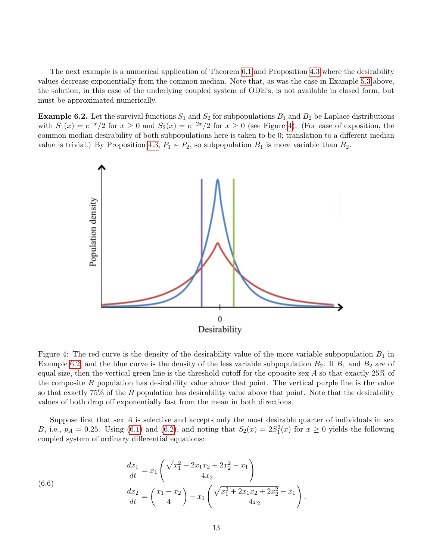The next example is a numerical application of Theorem [6.1](#page-11-1) and Proposition [4.3](#page-6-0) where the desirability values decrease exponentially from the common median. Note that, as was the case in Example [5.3](#page-8-0) above, the solution, in this case of the underlying coupled system of ODE's, is not available in closed form, but must be approximated numerically.

<span id="page-12-0"></span>**Example 6.2.** Let the survival functions  $S_1$  and  $S_2$  for subpopulations  $B_1$  and  $B_2$  be Laplace distributions with  $S_1(x) = e^{-x}/2$  for  $x \ge 0$  and  $S_2(x) = e^{-2x}/2$  for  $x \ge 0$  (see Figure [4\)](#page-12-1). (For ease of exposition, the common median desirability of both subpopulations here is taken to be 0; translation to a different median value is trivial.) By Proposition [4.3,](#page-6-0)  $P_1 \succ P_2$ , so subpopulation  $B_1$  is more variable than  $B_2$ .



<span id="page-12-1"></span>Figure 4: The red curve is the density of the desirability value of the more variable subpopulation  $B_1$  in Example [6.2,](#page-12-0) and the blue curve is the density of the less variable subpopulation  $B_2$ . If  $B_1$  and  $B_2$  are of equal size, then the vertical green line is the threshold cutoff for the opposite sex A so that exactly 25% of the composite  $B$  population has desirability value above that point. The vertical purple line is the value so that exactly 75% of the B population has desirability value above that point. Note that the desirability values of both drop off exponentially fast from the mean in both directions.

Suppose first that sex  $\vec{A}$  is selective and accepts only the most desirable quarter of individuals in sex B, i.e.,  $p_A = 0.25$ . Using [\(6.1\)](#page-10-1) and [\(6.2\)](#page-10-0), and noting that  $S_2(x) = 2S_1^2(x)$  for  $x \ge 0$  yields the following coupled system of ordinary differential equations:

<span id="page-12-2"></span>(6.6) 
$$
\frac{dx_1}{dt} = x_1 \left( \frac{\sqrt{x_1^2 + 2x_1x_2 + 2x_2^2} - x_1}{4x_2} \right)
$$

$$
\frac{dx_2}{dt} = \left( \frac{x_1 + x_2}{4} \right) - x_1 \left( \frac{\sqrt{x_1^2 + 2x_1x_2 + 2x_2^2} - x_1}{4x_2} \right).
$$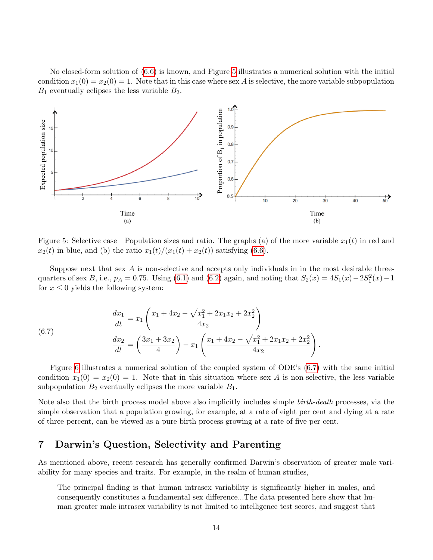No closed-form solution of [\(6.6\)](#page-12-2) is known, and Figure [5](#page-13-0) illustrates a numerical solution with the initial condition  $x_1(0) = x_2(0) = 1$ . Note that in this case where sex A is selective, the more variable subpopulation  $B_1$  eventually eclipses the less variable  $B_2$ .



<span id="page-13-0"></span>Figure 5: Selective case—Population sizes and ratio. The graphs (a) of the more variable  $x_1(t)$  in red and  $x_2(t)$  in blue, and (b) the ratio  $x_1(t)/(x_1(t) + x_2(t))$  satisfying [\(6.6\)](#page-12-2).

Suppose next that sex  $A$  is non-selective and accepts only individuals in in the most desirable threequarters of sex B, i.e.,  $p_A = 0.75$ . Using [\(6.1\)](#page-10-1) and [\(6.2\)](#page-10-0) again, and noting that  $S_2(x) = 4S_1(x) - 2S_1^2(x) - 1$ for  $x \leq 0$  yields the following system:

<span id="page-13-1"></span>(7) 
$$
\frac{dx_1}{dt} = x_1 \left( \frac{x_1 + 4x_2 - \sqrt{x_1^2 + 2x_1x_2 + 2x_2^2}}{4x_2} \right)
$$

$$
\frac{dx_2}{dt} = \left( \frac{3x_1 + 3x_2}{4} \right) - x_1 \left( \frac{x_1 + 4x_2 - \sqrt{x_1^2 + 2x_1x_2 + 2x_2^2}}{4x_2} \right).
$$

Figure [6](#page-14-0) illustrates a numerical solution of the coupled system of ODE's [\(6.7\)](#page-13-1) with the same initial condition  $x_1(0) = x_2(0) = 1$ . Note that in this situation where sex A is non-selective, the less variable subpopulation  $B_2$  eventually eclipses the more variable  $B_1$ .

Note also that the birth process model above also implicitly includes simple *birth-death* processes, via the simple observation that a population growing, for example, at a rate of eight per cent and dying at a rate of three percent, can be viewed as a pure birth process growing at a rate of five per cent.

### 7 Darwin's Question, Selectivity and Parenting

 $(6)$ 

As mentioned above, recent research has generally confirmed Darwin's observation of greater male variability for many species and traits. For example, in the realm of human studies,

The principal finding is that human intrasex variability is significantly higher in males, and consequently constitutes a fundamental sex difference...The data presented here show that human greater male intrasex variability is not limited to intelligence test scores, and suggest that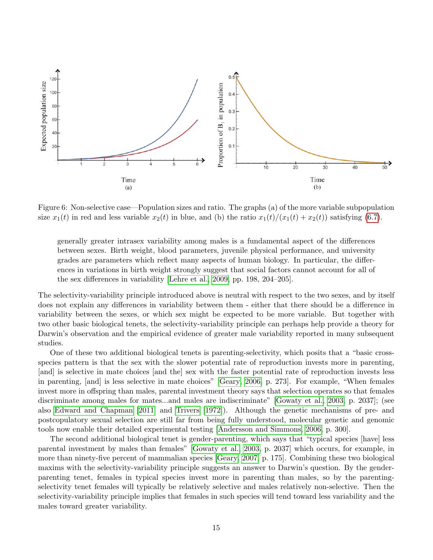

<span id="page-14-0"></span>Figure 6: Non-selective case—Population sizes and ratio. The graphs (a) of the more variable subpopulation size  $x_1(t)$  in red and less variable  $x_2(t)$  in blue, and (b) the ratio  $x_1(t)/(x_1(t) + x_2(t))$  satisfying [\(6.7\)](#page-13-1).

generally greater intrasex variability among males is a fundamental aspect of the differences between sexes. Birth weight, blood parameters, juvenile physical performance, and university grades are parameters which reflect many aspects of human biology. In particular, the differences in variations in birth weight strongly suggest that social factors cannot account for all of the sex differences in variability [\[Lehre et al., 2009,](#page-29-1) pp. 198, 204–205].

The selectivity-variability principle introduced above is neutral with respect to the two sexes, and by itself does not explain any differences in variability between them - either that there should be a difference in variability between the sexes, or which sex might be expected to be more variable. But together with two other basic biological tenets, the selectivity-variability principle can perhaps help provide a theory for Darwin's observation and the empirical evidence of greater male variability reported in many subsequent studies.

One of these two additional biological tenets is parenting-selectivity, which posits that a "basic crossspecies pattern is that the sex with the slower potential rate of reproduction invests more in parenting, [and] is selective in mate choices [and the] sex with the faster potential rate of reproduction invests less in parenting, [and] is less selective in mate choices" [\[Geary, 2006,](#page-27-2) p. 273]. For example, "When females invest more in offspring than males, parental investment theory says that selection operates so that females discriminate among males for mates...and males are indiscriminate" [\[Gowaty et al., 2003,](#page-28-3) p. 2037]; (see also [Edward and Chapman](#page-27-3) [\[2011\]](#page-27-3) and [Trivers](#page-32-3) [\[1972\]](#page-32-3)). Although the genetic mechanisms of pre- and postcopulatory sexual selection are still far from being fully understood, molecular genetic and genomic tools now enable their detailed experimental testing [\[Andersson and Simmons, 2006,](#page-25-2) p. 300].

The second additional biological tenet is gender-parenting, which says that "typical species [have] less parental investment by males than females" [\[Gowaty et al., 2003,](#page-28-3) p. 2037] which occurs, for example, in more than ninety-five percent of mammalian species [\[Geary, 2007,](#page-27-1) p. 175]. Combining these two biological maxims with the selectivity-variability principle suggests an answer to Darwin's question. By the genderparenting tenet, females in typical species invest more in parenting than males, so by the parentingselectivity tenet females will typically be relatively selective and males relatively non-selective. Then the selectivity-variability principle implies that females in such species will tend toward less variability and the males toward greater variability.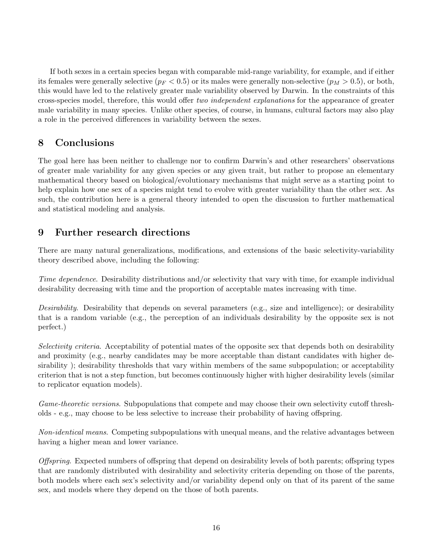If both sexes in a certain species began with comparable mid-range variability, for example, and if either its females were generally selective ( $p_F < 0.5$ ) or its males were generally non-selective ( $p_M > 0.5$ ), or both, this would have led to the relatively greater male variability observed by Darwin. In the constraints of this cross-species model, therefore, this would offer two independent explanations for the appearance of greater male variability in many species. Unlike other species, of course, in humans, cultural factors may also play a role in the perceived differences in variability between the sexes.

## 8 Conclusions

The goal here has been neither to challenge nor to confirm Darwin's and other researchers' observations of greater male variability for any given species or any given trait, but rather to propose an elementary mathematical theory based on biological/evolutionary mechanisms that might serve as a starting point to help explain how one sex of a species might tend to evolve with greater variability than the other sex. As such, the contribution here is a general theory intended to open the discussion to further mathematical and statistical modeling and analysis.

## 9 Further research directions

There are many natural generalizations, modifications, and extensions of the basic selectivity-variability theory described above, including the following:

Time dependence. Desirability distributions and/or selectivity that vary with time, for example individual desirability decreasing with time and the proportion of acceptable mates increasing with time.

Desirability. Desirability that depends on several parameters (e.g., size and intelligence); or desirability that is a random variable (e.g., the perception of an individuals desirability by the opposite sex is not perfect.)

Selectivity criteria. Acceptability of potential mates of the opposite sex that depends both on desirability and proximity (e.g., nearby candidates may be more acceptable than distant candidates with higher desirability ); desirability thresholds that vary within members of the same subpopulation; or acceptability criterion that is not a step function, but becomes continuously higher with higher desirability levels (similar to replicator equation models).

Game-theoretic versions. Subpopulations that compete and may choose their own selectivity cutoff thresholds - e.g., may choose to be less selective to increase their probability of having offspring.

Non-identical means. Competing subpopulations with unequal means, and the relative advantages between having a higher mean and lower variance.

Offspring. Expected numbers of offspring that depend on desirability levels of both parents; offspring types that are randomly distributed with desirability and selectivity criteria depending on those of the parents, both models where each sex's selectivity and/or variability depend only on that of its parent of the same sex, and models where they depend on the those of both parents.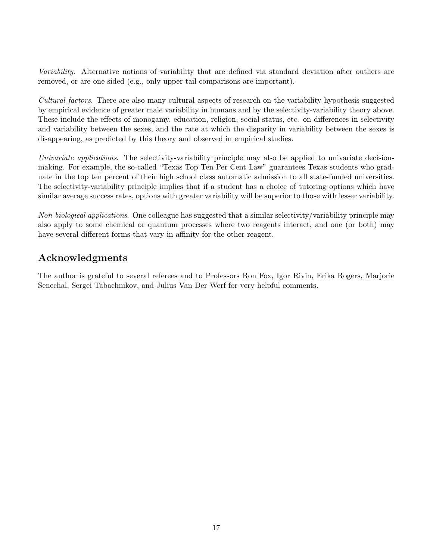Variability. Alternative notions of variability that are defined via standard deviation after outliers are removed, or are one-sided (e.g., only upper tail comparisons are important).

Cultural factors. There are also many cultural aspects of research on the variability hypothesis suggested by empirical evidence of greater male variability in humans and by the selectivity-variability theory above. These include the effects of monogamy, education, religion, social status, etc. on differences in selectivity and variability between the sexes, and the rate at which the disparity in variability between the sexes is disappearing, as predicted by this theory and observed in empirical studies.

Univariate applications. The selectivity-variability principle may also be applied to univariate decisionmaking. For example, the so-called "Texas Top Ten Per Cent Law" guarantees Texas students who graduate in the top ten percent of their high school class automatic admission to all state-funded universities. The selectivity-variability principle implies that if a student has a choice of tutoring options which have similar average success rates, options with greater variability will be superior to those with lesser variability.

Non-biological applications. One colleague has suggested that a similar selectivity/variability principle may also apply to some chemical or quantum processes where two reagents interact, and one (or both) may have several different forms that vary in affinity for the other reagent.

# Acknowledgments

The author is grateful to several referees and to Professors Ron Fox, Igor Rivin, Erika Rogers, Marjorie Senechal, Sergei Tabachnikov, and Julius Van Der Werf for very helpful comments.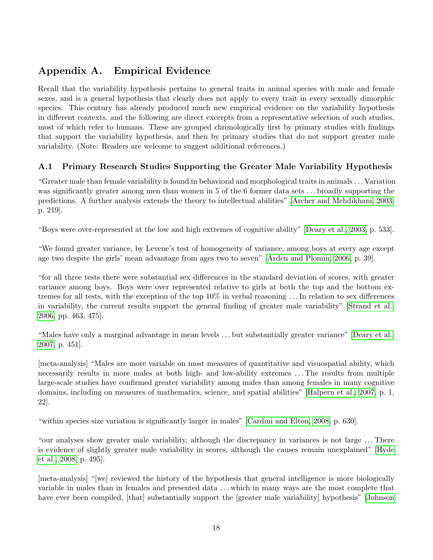# Appendix A. Empirical Evidence

Recall that the variability hypothesis pertains to general traits in animal species with male and female sexes, and is a general hypothesis that clearly does not apply to every trait in every sexually dimorphic species. This century has already produced much new empirical evidence on the variability hypothesis in different contexts, and the following are direct excerpts from a representative selection of such studies, most of which refer to humans. These are grouped chronologically first by primary studies with findings that support the variability hypothesis, and then by primary studies that do not support greater male variability. (Note: Readers are welcome to suggest additional references.)

### A.1 Primary Research Studies Supporting the Greater Male Variability Hypothesis

"Greater male than female variability is found in behavioral and morphological traits in animals . . . Variation was significantly greater among men than women in 5 of the 6 former data sets . . . broadly supporting the predictions. A further analysis extends the theory to intellectual abilities" [\[Archer and Mehdikhani, 2003,](#page-25-3) p. 219].

"Boys were over-represented at the low and high extremes of cognitive ability" [\[Deary et al., 2003,](#page-27-4) p. 533].

"We found greater variance, by Levene's test of homogeneity of variance, among boys at every age except age two despite the girls' mean advantage from ages two to seven" [\[Arden and Plomin, 2006,](#page-25-4) p. 39].

"for all three tests there were substantial sex differences in the standard deviation of scores, with greater variance among boys. Boys were over represented relative to girls at both the top and the bottom extremes for all tests, with the exception of the top 10% in verbal reasoning . . . In relation to sex differences in variability, the current results support the general finding of greater male variability" [\[Strand et al.,](#page-32-4) [2006,](#page-32-4) pp. 463, 475].

"Males have only a marginal advantage in mean levels . . . but substantially greater variance" [\[Deary et al.,](#page-27-5) [2007,](#page-27-5) p. 451].

[meta-analysis] "Males are more variable on most measures of quantitative and visuospatial ability, which necessarily results in more males at both high- and low-ability extremes . . . The results from multiple large-scale studies have confirmed greater variability among males than among females in many cognitive domains, including on measures of mathematics, science, and spatial abilities" [\[Halpern et al., 2007,](#page-28-1) p. 1, 22].

"within species size variation is significantly larger in males" [\[Cardini and Elton, 2008,](#page-26-1) p. 630].

"our analyses show greater male variability, although the discrepancy in variances is not large . . . There is evidence of slightly greater male variability in scores, although the causes remain unexplained" [\[Hyde](#page-28-0) [et al., 2008,](#page-28-0) p. 495].

[meta-analysis] "[we] reviewed the history of the hypothesis that general intelligence is more biologically variable in males than in females and presented data . . . which in many ways are the most complete that have ever been compiled, [that] substantially support the [greater male variability] hypothesis" [\[Johnson](#page-29-2)]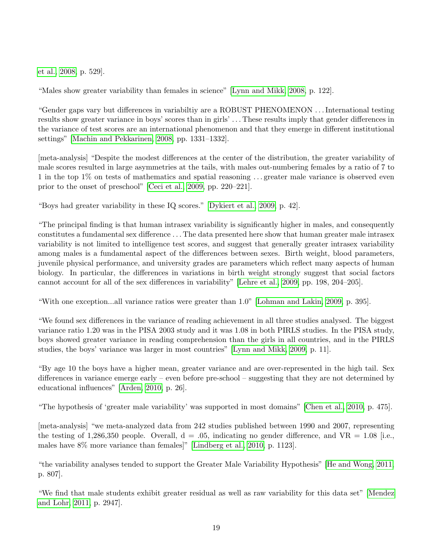[et al., 2008,](#page-29-2) p. 529].

"Males show greater variability than females in science" [\[Lynn and Mikk, 2008,](#page-30-3) p. 122].

"Gender gaps vary but differences in variabiltiy are a ROBUST PHENOMENON . . . International testing results show greater variance in boys' scores than in girls' . . . These results imply that gender differences in the variance of test scores are an international phenomenon and that they emerge in different institutional settings" [\[Machin and Pekkarinen, 2008,](#page-30-4) pp. 1331–1332].

[meta-analysis] "Despite the modest differences at the center of the distribution, the greater variability of male scores resulted in large asymmetries at the tails, with males out-numbering females by a ratio of 7 to 1 in the top 1% on tests of mathematics and spatial reasoning . . . greater male variance is observed even prior to the onset of preschool" [\[Ceci et al., 2009,](#page-26-6) pp. 220–221].

"Boys had greater variability in these IQ scores." [\[Dykiert et al., 2009,](#page-27-6) p. 42].

"The principal finding is that human intrasex variability is significantly higher in males, and consequently constitutes a fundamental sex difference . . . The data presented here show that human greater male intrasex variability is not limited to intelligence test scores, and suggest that generally greater intrasex variability among males is a fundamental aspect of the differences between sexes. Birth weight, blood parameters, juvenile physical performance, and university grades are parameters which reflect many aspects of human biology. In particular, the differences in variations in birth weight strongly suggest that social factors cannot account for all of the sex differences in variability" [\[Lehre et al., 2009,](#page-29-1) pp. 198, 204–205].

"With one exception...all variance ratios were greater than 1.0" [\[Lohman and Lakin, 2009,](#page-30-5) p. 395].

"We found sex differences in the variance of reading achievement in all three studies analysed. The biggest variance ratio 1.20 was in the PISA 2003 study and it was 1.08 in both PIRLS studies. In the PISA study, boys showed greater variance in reading comprehension than the girls in all countries, and in the PIRLS studies, the boys' variance was larger in most countries" [\[Lynn and Mikk, 2009,](#page-30-6) p. 11].

"By age 10 the boys have a higher mean, greater variance and are over-represented in the high tail. Sex differences in variance emerge early – even before pre-school – suggesting that they are not determined by educational influences" [\[Arden, 2010,](#page-25-5) p. 26].

"The hypothesis of 'greater male variability' was supported in most domains" [\[Chen et al., 2010,](#page-26-7) p. 475].

[meta-analysis] "we meta-analyzed data from 242 studies published between 1990 and 2007, representing the testing of 1,286,350 people. Overall,  $d = .05$ , indicating no gender difference, and VR = 1.08 [i.e., males have 8% more variance than females]" [\[Lindberg et al., 2010,](#page-30-7) p. 1123].

"the variability analyses tended to support the Greater Male Variability Hypothesis" [\[He and Wong, 2011,](#page-28-4) p. 807].

"We find that male students exhibit greater residual as well as raw variability for this data set" [\[Mendez](#page-30-8) [and Lohr, 2011,](#page-30-8) p. 2947].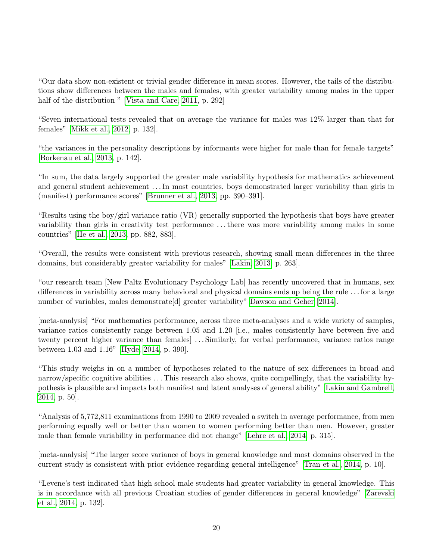"Our data show non-existent or trivial gender difference in mean scores. However, the tails of the distributions show differences between the males and females, with greater variability among males in the upper half of the distribution " [\[Vista and Care, 2011,](#page-32-5) p. 292]

"Seven international tests revealed that on average the variance for males was 12% larger than that for females" [\[Mikk et al., 2012,](#page-30-9) p. 132].

"the variances in the personality descriptions by informants were higher for male than for female targets" [\[Borkenau et al., 2013,](#page-25-6) p. 142].

"In sum, the data largely supported the greater male variability hypothesis for mathematics achievement and general student achievement . . . In most countries, boys demonstrated larger variability than girls in (manifest) performance scores" [\[Brunner et al., 2013,](#page-26-8) pp. 390–391].

"Results using the boy/girl variance ratio (VR) generally supported the hypothesis that boys have greater variability than girls in creativity test performance . . . there was more variability among males in some countries" [\[He et al., 2013,](#page-28-5) pp. 882, 883].

"Overall, the results were consistent with previous research, showing small mean differences in the three domains, but considerably greater variability for males" [\[Lakin, 2013,](#page-29-3) p. 263].

"our research team [New Paltz Evolutionary Psychology Lab] has recently uncovered that in humans, sex differences in variability across many behavioral and physical domains ends up being the rule . . . for a large number of variables, males demonstrate [d] greater variability" [Dawson and Geher](#page-26-9) [\[2014\]](#page-26-9).

[meta-analysis] "For mathematics performance, across three meta-analyses and a wide variety of samples, variance ratios consistently range between 1.05 and 1.20 [i.e., males consistently have between five and twenty percent higher variance than females] . . . Similarly, for verbal performance, variance ratios range between 1.03 and 1.16" [\[Hyde, 2014,](#page-28-6) p. 390].

"This study weighs in on a number of hypotheses related to the nature of sex differences in broad and narrow/specific cognitive abilities . . . This research also shows, quite compellingly, that the variability hypothesis is plausible and impacts both manifest and latent analyses of general ability" [\[Lakin and Gambrell,](#page-29-4) [2014,](#page-29-4) p. 50].

"Analysis of 5,772,811 examinations from 1990 to 2009 revealed a switch in average performance, from men performing equally well or better than women to women performing better than men. However, greater male than female variability in performance did not change" [\[Lehre et al., 2014,](#page-29-5) p. 315].

[meta-analysis] "The larger score variance of boys in general knowledge and most domains observed in the current study is consistent with prior evidence regarding general intelligence" [\[Tran et al., 2014,](#page-32-6) p. 10].

"Levene's test indicated that high school male students had greater variability in general knowledge. This is in accordance with all previous Croatian studies of gender differences in general knowledge" [\[Zarevski](#page-33-1) [et al., 2014,](#page-33-1) p. 132].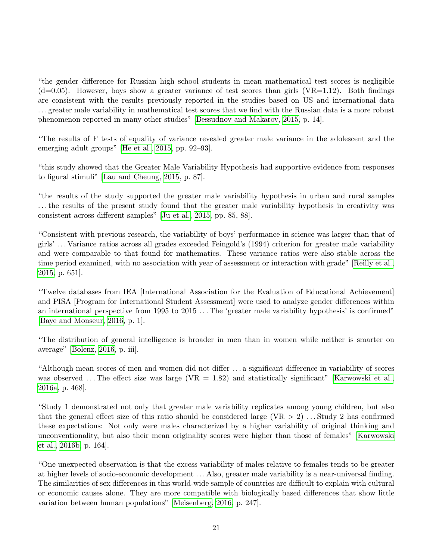"the gender difference for Russian high school students in mean mathematical test scores is negligible  $(d=0.05)$ . However, boys show a greater variance of test scores than girls (VR=1.12). Both findings are consistent with the results previously reported in the studies based on US and international data . . . greater male variability in mathematical test scores that we find with the Russian data is a more robust phenomenon reported in many other studies" [\[Bessudnov and Makarov, 2015,](#page-25-7) p. 14].

"The results of F tests of equality of variance revealed greater male variance in the adolescent and the emerging adult groups" [\[He et al., 2015,](#page-28-7) pp. 92–93].

"this study showed that the Greater Male Variability Hypothesis had supportive evidence from responses to figural stimuli" [\[Lau and Cheung, 2015,](#page-29-6) p. 87].

"the results of the study supported the greater male variability hypothesis in urban and rural samples . . . the results of the present study found that the greater male variability hypothesis in creativity was consistent across different samples" [\[Ju et al., 2015,](#page-29-7) pp. 85, 88].

"Consistent with previous research, the variability of boys' performance in science was larger than that of girls' . . . Variance ratios across all grades exceeded Feingold's (1994) criterion for greater male variability and were comparable to that found for mathematics. These variance ratios were also stable across the time period examined, with no association with year of assessment or interaction with grade" [\[Reilly et al.,](#page-31-5) [2015,](#page-31-5) p. 651].

"Twelve databases from IEA [International Association for the Evaluation of Educational Achievement] and PISA [Program for International Student Assessment] were used to analyze gender differences within an international perspective from 1995 to 2015 . . . The 'greater male variability hypothesis' is confirmed" [\[Baye and Monseur, 2016,](#page-25-8) p. 1].

"The distribution of general intelligence is broader in men than in women while neither is smarter on average" [\[Bolenz, 2016,](#page-25-9) p. iii].

"Although mean scores of men and women did not differ . . . a significant difference in variability of scores was observed ... The effect size was large  $(VR = 1.82)$  and statistically significant" [\[Karwowski et al.,](#page-29-8) [2016a,](#page-29-8) p. 468].

"Study 1 demonstrated not only that greater male variability replicates among young children, but also that the general effect size of this ratio should be considered large  $(VR > 2)$ ... Study 2 has confirmed these expectations: Not only were males characterized by a higher variability of original thinking and unconventionality, but also their mean originality scores were higher than those of females" [\[Karwowski](#page-29-9) [et al., 2016b,](#page-29-9) p. 164].

"One unexpected observation is that the excess variability of males relative to females tends to be greater at higher levels of socio-economic development . . . Also, greater male variability is a near-universal finding. The similarities of sex differences in this world-wide sample of countries are difficult to explain with cultural or economic causes alone. They are more compatible with biologically based differences that show little variation between human populations" [\[Meisenberg, 2016,](#page-30-10) p. 247].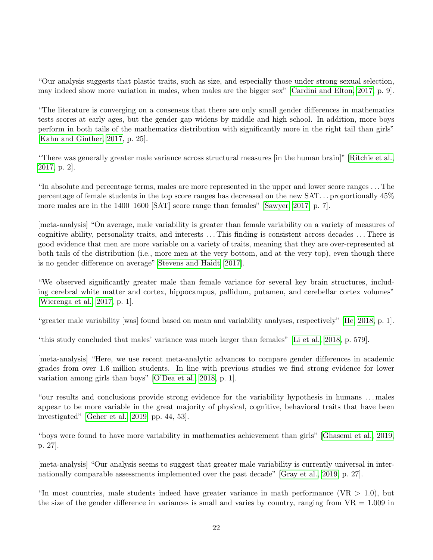"Our analysis suggests that plastic traits, such as size, and especially those under strong sexual selection, may indeed show more variation in males, when males are the bigger sex" [\[Cardini and Elton, 2017,](#page-26-10) p. 9].

"The literature is converging on a consensus that there are only small gender differences in mathematics tests scores at early ages, but the gender gap widens by middle and high school. In addition, more boys perform in both tails of the mathematics distribution with significantly more in the right tail than girls" [\[Kahn and Ginther, 2017,](#page-29-10) p. 25].

"There was generally greater male variance across structural measures [in the human brain]" [\[Ritchie et al.,](#page-31-6) [2017,](#page-31-6) p. 2].

"In absolute and percentage terms, males are more represented in the upper and lower score ranges . . . The percentage of female students in the top score ranges has decreased on the new SAT. . . proportionally 45% more males are in the 1400–1600 [SAT] score range than females" [\[Sawyer, 2017,](#page-31-7) p. 7].

[meta-analysis] "On average, male variability is greater than female variability on a variety of measures of cognitive ability, personality traits, and interests . . . This finding is consistent across decades . . . There is good evidence that men are more variable on a variety of traits, meaning that they are over-represented at both tails of the distribution (i.e., more men at the very bottom, and at the very top), even though there is no gender difference on average" [Stevens and Haidt](#page-32-7) [\[2017\]](#page-32-7).

"We observed significantly greater male than female variance for several key brain structures, including cerebral white matter and cortex, hippocampus, pallidum, putamen, and cerebellar cortex volumes" [\[Wierenga et al., 2017,](#page-32-8) p. 1].

"greater male variability [was] found based on mean and variability analyses, respectively" [\[He, 2018,](#page-28-8) p. 1].

"this study concluded that males' variance was much larger than females" [\[Li et al., 2018,](#page-30-11) p. 579].

[meta-analysis] "Here, we use recent meta-analytic advances to compare gender differences in academic grades from over 1.6 million students. In line with previous studies we find strong evidence for lower variation among girls than boys" [\[O'Dea et al., 2018,](#page-31-8) p. 1].

"our results and conclusions provide strong evidence for the variability hypothesis in humans . . . males appear to be more variable in the great majority of physical, cognitive, behavioral traits that have been investigated" [\[Geher et al., 2019,](#page-27-7) pp. 44, 53].

"boys were found to have more variability in mathematics achievement than girls" [\[Ghasemi et al., 2019,](#page-27-8) p. 27].

[meta-analysis] "Our analysis seems to suggest that greater male variability is currently universal in internationally comparable assessments implemented over the past decade" [\[Gray et al., 2019,](#page-28-9) p. 27].

"In most countries, male students indeed have greater variance in math performance ( $VR > 1.0$ ), but the size of the gender difference in variances is small and varies by country, ranging from  $VR = 1.009$  in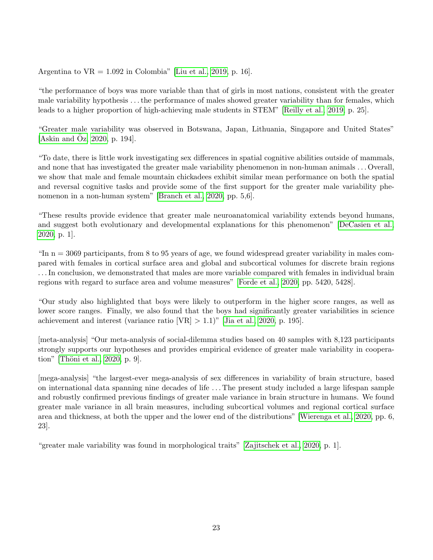Argentina to  $VR = 1.092$  in Colombia" [\[Liu et al., 2019,](#page-30-12) p. 16].

"the performance of boys was more variable than that of girls in most nations, consistent with the greater male variability hypothesis . . . the performance of males showed greater variability than for females, which leads to a higher proportion of high-achieving male students in STEM" [\[Reilly et al., 2019,](#page-31-9) p. 25].

"Greater male variability was observed in Botswana, Japan, Lithuania, Singapore and United States" [\[Askin and](#page-25-10)  $Oz$ , [2020,](#page-25-10) p. 194].

"To date, there is little work investigating sex differences in spatial cognitive abilities outside of mammals, and none that has investigated the greater male variability phenomenon in non-human animals . . . Overall, we show that male and female mountain chickadees exhibit similar mean performance on both the spatial and reversal cognitive tasks and provide some of the first support for the greater male variability phenomenon in a non-human system" [\[Branch et al., 2020,](#page-26-11) pp. 5,6].

"These results provide evidence that greater male neuroanatomical variability extends beyond humans, and suggest both evolutionary and developmental explanations for this phenomenon" [\[DeCasien et al.,](#page-27-9) [2020,](#page-27-9) p. 1].

"In  $n = 3069$  participants, from 8 to 95 years of age, we found widespread greater variability in males compared with females in cortical surface area and global and subcortical volumes for discrete brain regions . . . In conclusion, we demonstrated that males are more variable compared with females in individual brain regions with regard to surface area and volume measures" [\[Forde et al., 2020,](#page-27-10) pp. 5420, 5428].

"Our study also highlighted that boys were likely to outperform in the higher score ranges, as well as lower score ranges. Finally, we also found that the boys had significantly greater variabilities in science achievement and interest (variance ratio  $[VR] > 1.1$ )" [\[Jia et al., 2020,](#page-29-11) p. 195].

[meta-analysis] "Our meta-analysis of social-dilemma studies based on 40 samples with 8,123 participants strongly supports our hypotheses and provides empirical evidence of greater male variability in cooperation" [Thöni et al., 2020, p. 9].

[mega-analysis] "the largest-ever mega-analysis of sex differences in variability of brain structure, based on international data spanning nine decades of life . . . The present study included a large lifespan sample and robustly confirmed previous findings of greater male variance in brain structure in humans. We found greater male variance in all brain measures, including subcortical volumes and regional cortical surface area and thickness, at both the upper and the lower end of the distributions" [\[Wierenga et al., 2020,](#page-32-10) pp. 6, 23].

"greater male variability was found in morphological traits" [\[Zajitschek et al., 2020,](#page-33-2) p. 1].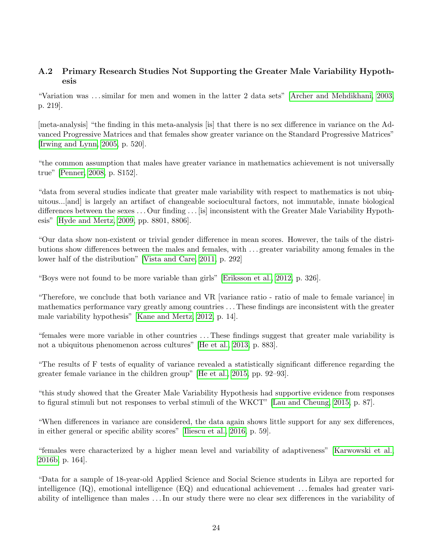### A.2 Primary Research Studies Not Supporting the Greater Male Variability Hypothesis

"Variation was . . . similar for men and women in the latter 2 data sets" [\[Archer and Mehdikhani, 2003,](#page-25-3) p. 219].

[meta-analysis] "the finding in this meta-analysis [is] that there is no sex difference in variance on the Advanced Progressive Matrices and that females show greater variance on the Standard Progressive Matrices" [\[Irwing and Lynn, 2005,](#page-28-10) p. 520].

"the common assumption that males have greater variance in mathematics achievement is not universally true" [\[Penner, 2008,](#page-31-10) p. S152].

"data from several studies indicate that greater male variability with respect to mathematics is not ubiquitous...[and] is largely an artifact of changeable sociocultural factors, not immutable, innate biological differences between the sexes . . . Our finding . . . [is] inconsistent with the Greater Male Variability Hypothesis" [\[Hyde and Mertz, 2009,](#page-28-11) pp. 8801, 8806].

"Our data show non-existent or trivial gender difference in mean scores. However, the tails of the distributions show differences between the males and females, with . . . greater variability among females in the lower half of the distribution" [\[Vista and Care, 2011,](#page-32-5) p. 292]

"Boys were not found to be more variable than girls" [\[Eriksson et al., 2012,](#page-27-11) p. 326].

"Therefore, we conclude that both variance and VR [variance ratio - ratio of male to female variance] in mathematics performance vary greatly among countries . . . These findings are inconsistent with the greater male variability hypothesis" [\[Kane and Mertz, 2012,](#page-29-12) p. 14].

"females were more variable in other countries . . . These findings suggest that greater male variability is not a ubiquitous phenomenon across cultures" [\[He et al., 2013,](#page-28-5) p. 883].

"The results of F tests of equality of variance revealed a statistically significant difference regarding the greater female variance in the children group" [\[He et al., 2015,](#page-28-7) pp. 92–93].

"this study showed that the Greater Male Variability Hypothesis had supportive evidence from responses to figural stimuli but not responses to verbal stimuli of the WKCT" [\[Lau and Cheung, 2015,](#page-29-6) p. 87].

"When differences in variance are considered, the data again shows little support for any sex differences, in either general or specific ability scores" [\[Iliescu et al., 2016,](#page-28-12) p. 59].

"females were characterized by a higher mean level and variability of adaptiveness" [\[Karwowski et al.,](#page-29-9) [2016b,](#page-29-9) p. 164].

"Data for a sample of 18-year-old Applied Science and Social Science students in Libya are reported for intelligence (IQ), emotional intelligence (EQ) and educational achievement . . . females had greater variability of intelligence than males . . . In our study there were no clear sex differences in the variability of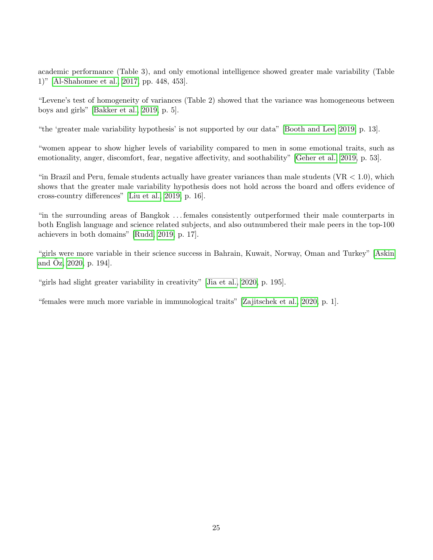academic performance (Table 3), and only emotional intelligence showed greater male variability (Table 1)" [\[Al-Shahomee et al., 2017,](#page-25-11) pp. 448, 453].

"Levene's test of homogeneity of variances (Table 2) showed that the variance was homogeneous between boys and girls" [\[Bakker et al., 2019,](#page-25-12) p. 5].

"the 'greater male variability hypothesis' is not supported by our data" [\[Booth and Lee, 2019,](#page-25-13) p. 13].

"women appear to show higher levels of variability compared to men in some emotional traits, such as emotionality, anger, discomfort, fear, negative affectivity, and soothability" [\[Geher et al., 2019,](#page-27-7) p. 53].

"in Brazil and Peru, female students actually have greater variances than male students  $(VR < 1.0)$ , which shows that the greater male variability hypothesis does not hold across the board and offers evidence of cross-country differences" [\[Liu et al., 2019,](#page-30-12) p. 16].

"in the surrounding areas of Bangkok . . . females consistently outperformed their male counterparts in both English language and science related subjects, and also outnumbered their male peers in the top-100 achievers in both domains" [\[Rudd, 2019,](#page-31-11) p. 17].

"girls were more variable in their science success in Bahrain, Kuwait, Norway, Oman and Turkey" [\[Askin](#page-25-10) [and](#page-25-10)  $\ddot{O}z$ , [2020,](#page-25-10) p. 194].

"girls had slight greater variability in creativity" [\[Jia et al., 2020,](#page-29-11) p. 195].

"females were much more variable in immunological traits" [\[Zajitschek et al., 2020,](#page-33-2) p. 1].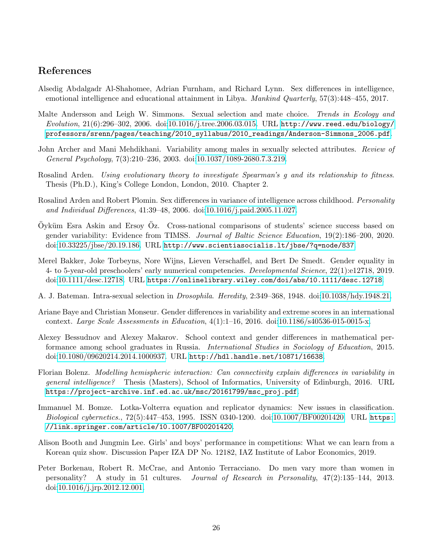### References

- <span id="page-25-11"></span>Alsedig Abdalgadr Al-Shahomee, Adrian Furnham, and Richard Lynn. Sex differences in intelligence, emotional intelligence and educational attainment in Libya. Mankind Quarterly, 57(3):448–455, 2017.
- <span id="page-25-2"></span>Malte Andersson and Leigh W. Simmons. Sexual selection and mate choice. Trends in Ecology and  $Evolution, 21(6):296-302, 2006.$  doi[:10.1016/j.tree.2006.03.015.](https://doi.org/10.1016/j.tree.2006.03.015) URL [http://www.reed.edu/biology/](http://www.reed.edu/biology/professors/srenn/pages/teaching/2010_syllabus/2010_readings/Anderson-Simmons_2006.pdf) [professors/srenn/pages/teaching/2010\\_syllabus/2010\\_readings/Anderson-Simmons\\_2006.pdf](http://www.reed.edu/biology/professors/srenn/pages/teaching/2010_syllabus/2010_readings/Anderson-Simmons_2006.pdf).
- <span id="page-25-3"></span>John Archer and Mani Mehdikhani. Variability among males in sexually selected attributes. Review of General Psychology, 7(3):210–236, 2003. doi[:10.1037/1089-2680.7.3.219.](https://doi.org/10.1037/1089-2680.7.3.219)
- <span id="page-25-5"></span>Rosalind Arden. Using evolutionary theory to investigate Spearman's g and its relationship to fitness. Thesis (Ph.D.), King's College London, London, 2010. Chapter 2.
- <span id="page-25-4"></span>Rosalind Arden and Robert Plomin. Sex differences in variance of intelligence across childhood. *Personality* and Individual Differences, 41:39–48, 2006. doi[:10.1016/j.paid.2005.11.027.](https://doi.org/10.1016/j.paid.2005.11.027)
- <span id="page-25-10"></span> $\ddot{O}$ yküm Esra Askin and Ersoy  $\ddot{O}z$ . Cross-national comparisons of students' science success based on gender variability: Evidence from TIMSS. Journal of Baltic Science Education, 19(2):186–200, 2020. doi[:10.33225/jbse/20.19.186.](https://doi.org/10.33225/jbse/20.19.186) URL <http://www.scientiasocialis.lt/jbse/?q=node/837>.
- <span id="page-25-12"></span>Merel Bakker, Joke Torbeyns, Nore Wijns, Lieven Verschaffel, and Bert De Smedt. Gender equality in 4- to 5-year-old preschoolers' early numerical competencies. Developmental Science, 22(1):e12718, 2019. doi[:10.1111/desc.12718.](https://doi.org/10.1111/desc.12718) URL <https://onlinelibrary.wiley.com/doi/abs/10.1111/desc.12718>.
- <span id="page-25-0"></span>A. J. Bateman. Intra-sexual selection in Drosophila. Heredity, 2:349–368, 1948. doi[:10.1038/hdy.1948.21.](https://doi.org/10.1038/hdy.1948.21)
- <span id="page-25-8"></span>Ariane Baye and Christian Monseur. Gender differences in variability and extreme scores in an international context. Large Scale Assessments in Education, 4(1):1–16, 2016. doi[:10.1186/s40536-015-0015-x.](https://doi.org/10.1186/s40536-015-0015-x)
- <span id="page-25-7"></span>Alexey Bessudnov and Alexey Makarov. School context and gender differences in mathematical performance among school graduates in Russia. International Studies in Sociology of Education, 2015. doi[:10.1080/09620214.2014.1000937.](https://doi.org/10.1080/09620214.2014.1000937) URL <http://hdl.handle.net/10871/16638>.
- <span id="page-25-9"></span>Florian Bolenz. Modelling hemispheric interaction: Can connectivity explain differences in variability in general intelligence? Thesis (Masters), School of Informatics, University of Edinburgh, 2016. URL [https://project-archive.inf.ed.ac.uk/msc/20161799/msc\\_proj.pdf](https://project-archive.inf.ed.ac.uk/msc/20161799/msc_proj.pdf).
- <span id="page-25-1"></span>Immanuel M. Bomze. Lotka-Volterra equation and replicator dynamics: New issues in classification. Biological cybernetics., 72(5):447–453, 1995. ISSN 0340-1200. doi[:10.1007/BF00201420.](https://doi.org/10.1007/BF00201420) URL [https:](https://link.springer.com/article/10.1007/BF00201420) [//link.springer.com/article/10.1007/BF00201420](https://link.springer.com/article/10.1007/BF00201420).
- <span id="page-25-13"></span>Alison Booth and Jungmin Lee. Girls' and boys' performance in competitions: What we can learn from a Korean quiz show. Discussion Paper IZA DP No. 12182, IAZ Institute of Labor Economics, 2019.
- <span id="page-25-6"></span>Peter Borkenau, Robert R. McCrae, and Antonio Terracciano. Do men vary more than women in personality? A study in 51 cultures. Journal of Research in Personality, 47(2):135–144, 2013. doi[:10.1016/j.jrp.2012.12.001.](https://doi.org/10.1016/j.jrp.2012.12.001)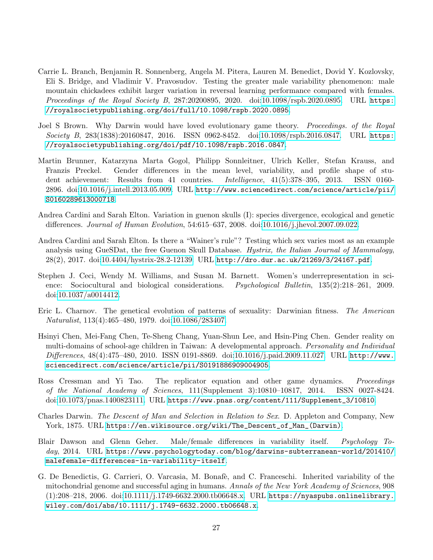- <span id="page-26-11"></span>Carrie L. Branch, Benjamin R. Sonnenberg, Angela M. Pitera, Lauren M. Benedict, Dovid Y. Kozlovsky, Eli S. Bridge, and Vladimir V. Pravosudov. Testing the greater male variability phenomenon: male mountain chickadees exhibit larger variation in reversal learning performance compared with females. Proceedings of the Royal Society B, 287:20200895, 2020. doi[:10.1098/rspb.2020.0895.](https://doi.org/10.1098/rspb.2020.0895) URL [https:](https://royalsocietypublishing.org/doi/full/10.1098/rspb.2020.0895) [//royalsocietypublishing.org/doi/full/10.1098/rspb.2020.0895](https://royalsocietypublishing.org/doi/full/10.1098/rspb.2020.0895).
- <span id="page-26-4"></span>Joel S Brown. Why Darwin would have loved evolutionary game theory. *Proceedings. of the Royal* Society B, 283(1838):20160847, 2016. ISSN 0962-8452. doi[:10.1098/rspb.2016.0847.](https://doi.org/10.1098/rspb.2016.0847) URL [https:](https://royalsocietypublishing.org/doi/pdf/10.1098/rspb.2016.0847) [//royalsocietypublishing.org/doi/pdf/10.1098/rspb.2016.0847](https://royalsocietypublishing.org/doi/pdf/10.1098/rspb.2016.0847).
- <span id="page-26-8"></span>Martin Brunner, Katarzyna Marta Gogol, Philipp Sonnleitner, Ulrich Keller, Stefan Krauss, and Franzis Preckel. Gender differences in the mean level, variability, and profile shape of student achievement: Results from 41 countries. Intelligence, 41(5):378–395, 2013. ISSN 0160- 2896. doi[:10.1016/j.intell.2013.05.009.](https://doi.org/10.1016/j.intell.2013.05.009) URL [http://www.sciencedirect.com/science/article/pii/](http://www.sciencedirect.com/science/article/pii/S0160289613000718) [S0160289613000718](http://www.sciencedirect.com/science/article/pii/S0160289613000718).
- <span id="page-26-1"></span>Andrea Cardini and Sarah Elton. Variation in guenon skulls (I): species divergence, ecological and genetic differences. Journal of Human Evolution, 54:615–637, 2008. doi[:10.1016/j.jhevol.2007.09.022.](https://doi.org/10.1016/j.jhevol.2007.09.022)
- <span id="page-26-10"></span>Andrea Cardini and Sarah Elton. Is there a "Wainer's rule"? Testing which sex varies most as an example analysis using GueSDat, the free Guenon Skull Database. Hystrix, the Italian Journal of Mammalogy, 28(2), 2017. doi[:10.4404/hystrix-28.2-12139.](https://doi.org/10.4404/hystrix-28.2-12139) URL <http://dro.dur.ac.uk/21269/3/24167.pdf>.
- <span id="page-26-6"></span>Stephen J. Ceci, Wendy M. Williams, and Susan M. Barnett. Women's underrepresentation in science: Sociocultural and biological considerations. Psychological Bulletin, 135(2):218–261, 2009. doi[:10.1037/a0014412.](https://doi.org/10.1037/a0014412)
- <span id="page-26-2"></span>Eric L. Charnov. The genetical evolution of patterns of sexuality: Darwinian fitness. The American Naturalist, 113(4):465–480, 1979. doi[:10.1086/283407.](https://doi.org/10.1086/283407)
- <span id="page-26-7"></span>Hsinyi Chen, Mei-Fang Chen, Te-Sheng Chang, Yuan-Shun Lee, and Hsin-Ping Chen. Gender reality on multi-domains of school-age children in Taiwan: A developmental approach. Personality and Individual Differences, 48(4):475-480, 2010. ISSN 0191-8869. doi[:10.1016/j.paid.2009.11.027.](https://doi.org/10.1016/j.paid.2009.11.027) URL [http://www.](http://www.sciencedirect.com/science/article/pii/S0191886909004905) [sciencedirect.com/science/article/pii/S0191886909004905](http://www.sciencedirect.com/science/article/pii/S0191886909004905).
- <span id="page-26-5"></span>Ross Cressman and Yi Tao. The replicator equation and other game dynamics. *Proceedings* of the National Academy of Sciences, 111(Supplement 3):10810–10817, 2014. ISSN 0027-8424. doi[:10.1073/pnas.1400823111.](https://doi.org/10.1073/pnas.1400823111) URL [https://www.pnas.org/content/111/Supplement\\_3/10810](https://www.pnas.org/content/111/Supplement_3/10810).
- <span id="page-26-0"></span>Charles Darwin. The Descent of Man and Selection in Relation to Sex. D. Appleton and Company, New York, 1875. URL [https://en.wikisource.org/wiki/The\\_Descent\\_of\\_Man\\_\(Darwin\)](https://en.wikisource.org/wiki/The_Descent_of_Man_(Darwin)).
- <span id="page-26-9"></span>Blair Dawson and Glenn Geher. Male/female differences in variability itself. Psychology Today, 2014. URL [https://www.psychologytoday.com/blog/darwins-subterranean-world/201410/](https://www. psychologytoday.com/blog/darwins-subterranean-world/201410/ malefemale-differences-in-variability-itself) [malefemale-differences-in-variability-itself](https://www. psychologytoday.com/blog/darwins-subterranean-world/201410/ malefemale-differences-in-variability-itself).
- <span id="page-26-3"></span>G. De Benedictis, G. Carrieri, O. Varcasia, M. Bonafè, and C. Franceschi. Inherited variability of the mitochondrial genome and successful aging in humans. Annals of the New York Academy of Sciences, 908 (1):208–218, 2006. doi[:10.1111/j.1749-6632.2000.tb06648.x.](https://doi.org/10.1111/j.1749-6632.2000.tb06648.x) URL [https://nyaspubs.onlinelibrary.](https://nyaspubs.onlinelibrary.wiley.com/doi/abs/10.1111/j.1749-6632.2000.tb06648.x) [wiley.com/doi/abs/10.1111/j.1749-6632.2000.tb06648.x](https://nyaspubs.onlinelibrary.wiley.com/doi/abs/10.1111/j.1749-6632.2000.tb06648.x).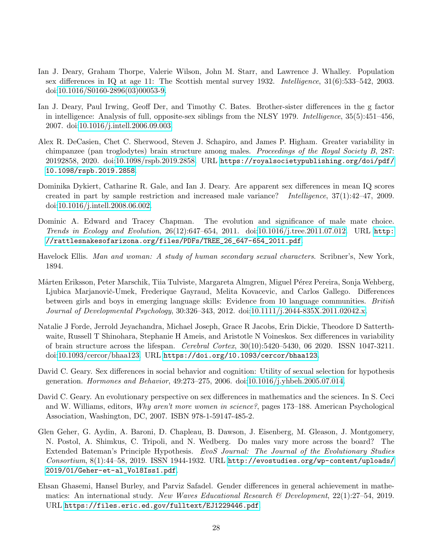- <span id="page-27-4"></span>Ian J. Deary, Graham Thorpe, Valerie Wilson, John M. Starr, and Lawrence J. Whalley. Population sex differences in IQ at age 11: The Scottish mental survey 1932. Intelligence, 31(6):533–542, 2003. doi[:10.1016/S0160-2896\(03\)00053-9.](https://doi.org/10.1016/S0160-2896(03)00053-9)
- <span id="page-27-5"></span>Ian J. Deary, Paul Irwing, Geoff Der, and Timothy C. Bates. Brother-sister differences in the g factor in intelligence: Analysis of full, opposite-sex siblings from the NLSY 1979. *Intelligence*, 35(5):451–456, 2007. doi[:10.1016/j.intell.2006.09.003.](https://doi.org/10.1016/j.intell.2006.09.003)
- <span id="page-27-9"></span>Alex R. DeCasien, Chet C. Sherwood, Steven J. Schapiro, and James P. Higham. Greater variability in chimpanzee (pan troglodytes) brain structure among males. Proceedings of the Royal Society B, 287: 20192858, 2020. doi[:10.1098/rspb.2019.2858.](https://doi.org/10.1098/rspb.2019.2858) URL [https://royalsocietypublishing.org/doi/pdf/](https://royalsocietypublishing.org/doi/pdf/10.1098/rspb.2019.2858) [10.1098/rspb.2019.2858](https://royalsocietypublishing.org/doi/pdf/10.1098/rspb.2019.2858).
- <span id="page-27-6"></span>Dominika Dykiert, Catharine R. Gale, and Ian J. Deary. Are apparent sex differences in mean IQ scores created in part by sample restriction and increased male variance? Intelligence, 37(1):42–47, 2009. doi[:10.1016/j.intell.2008.06.002.](https://doi.org/10.1016/j.intell.2008.06.002)
- <span id="page-27-3"></span>Dominic A. Edward and Tracey Chapman. The evolution and significance of male mate choice. Trends in Ecology and Evolution, 26(12):647–654, 2011. doi[:10.1016/j.tree.2011.07.012.](https://doi.org/10.1016/j.tree.2011.07.012) URL [http:](http://rattlesnakesofarizona.org/files/PDFs/TREE_26_647-654_2011.pdf) [//rattlesnakesofarizona.org/files/PDFs/TREE\\_26\\_647-654\\_2011.pdf](http://rattlesnakesofarizona.org/files/PDFs/TREE_26_647-654_2011.pdf).
- <span id="page-27-0"></span>Havelock Ellis. Man and woman: A study of human secondary sexual characters. Scribner's, New York, 1894.
- <span id="page-27-11"></span>Mårten Eriksson, Peter Marschik, Tiia Tulviste, Margareta Almgren, Miguel Pérez Pereira, Sonja Wehberg, Ljubica Marjanovič-Umek, Frederique Gayraud, Melita Kovacevic, and Carlos Gallego. Differences between girls and boys in emerging language skills: Evidence from 10 language communities. British Journal of Developmental Psychology, 30:326–343, 2012. doi[:10.1111/j.2044-835X.2011.02042.x.](https://doi.org/10.1111/j.2044-835X.2011.02042.x)
- <span id="page-27-10"></span>Natalie J Forde, Jerrold Jeyachandra, Michael Joseph, Grace R Jacobs, Erin Dickie, Theodore D Satterthwaite, Russell T Shinohara, Stephanie H Ameis, and Aristotle N Voineskos. Sex differences in variability of brain structure across the lifespan. Cerebral Cortex, 30(10):5420–5430, 06 2020. ISSN 1047-3211. doi[:10.1093/cercor/bhaa123.](https://doi.org/10.1093/cercor/bhaa123) URL <https://doi.org/10.1093/cercor/bhaa123>.
- <span id="page-27-2"></span>David C. Geary. Sex differences in social behavior and cognition: Utility of sexual selection for hypothesis generation. Hormones and Behavior, 49:273–275, 2006. doi[:10.1016/j.yhbeh.2005.07.014.](https://doi.org/10.1016/j.yhbeh.2005.07.014)
- <span id="page-27-1"></span>David C. Geary. An evolutionary perspective on sex differences in mathematics and the sciences. In S. Ceci and W. Williams, editors, Why aren't more women in science?, pages 173–188. American Psychological Association, Washington, DC, 2007. ISBN 978-1-59147-485-2.
- <span id="page-27-7"></span>Glen Geher, G. Aydin, A. Baroni, D. Chapleau, B. Dawson, J. Eisenberg, M. Gleason, J. Montgomery, N. Postol, A. Shimkus, C. Tripoli, and N. Wedberg. Do males vary more across the board? The Extended Bateman's Principle Hypothesis. EvoS Journal: The Journal of the Evolutionary Studies Consortium, 8(1):44–58, 2019. ISSN 1944-1932. URL [http://evostudies.org/wp-content/uploads/](http://evostudies.org/wp-content/uploads/2019/01/Geher-et-al_Vol8Iss1.pdf) [2019/01/Geher-et-al\\_Vol8Iss1.pdf](http://evostudies.org/wp-content/uploads/2019/01/Geher-et-al_Vol8Iss1.pdf).
- <span id="page-27-8"></span>Ehsan Ghasemi, Hansel Burley, and Parviz Safadel. Gender differences in general achievement in mathematics: An international study. New Waves Educational Research & Development,  $22(1):27-54$ , 2019. URL <https://files.eric.ed.gov/fulltext/EJ1229446.pdf>.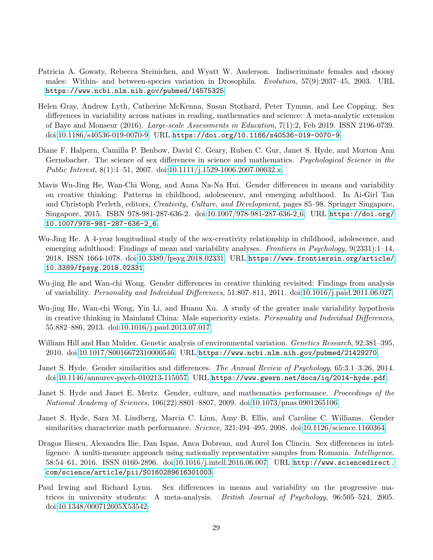- <span id="page-28-3"></span>Patricia A. Gowaty, Rebecca Steinichen, and Wyatt W. Anderson. Indiscriminate females and choosy males: Within- and between-species variation in Drosophila. Evolution, 57(9):2037–45, 2003. URL <https://www.ncbi.nlm.nih.gov/pubmed/14575325>.
- <span id="page-28-9"></span>Helen Gray, Andrew Lyth, Catherine McKenna, Susan Stothard, Peter Tymms, and Lee Copping. Sex differences in variability across nations in reading, mathematics and science: A meta-analytic extension of Baye and Monseur (2016). Large-scale Assessments in Education, 7(1):2, Feb 2019. ISSN 2196-0739. doi[:10.1186/s40536-019-0070-9.](https://doi.org/10.1186/s40536-019-0070-9) URL <https://doi.org/10.1186/s40536-019-0070-9>.
- <span id="page-28-1"></span>Diane F. Halpern, Camilla P. Benbow, David C. Geary, Ruben C. Gur, Janet S. Hyde, and Morton Ann Gernsbacher. The science of sex differences in science and mathematics. *Psychological Science in the* Public Interest, 8(1):1–51, 2007. doi[:10.1111/j.1529-1006.2007.00032.x.](https://doi.org/10.1111/j.1529-1006.2007.00032.x)
- <span id="page-28-7"></span>Mavis Wu-Jing He, Wan-Chi Wong, and Anna Na-Na Hui. Gender differences in means and variability on creative thinking: Patterns in childhood, adolescence, and emerging adulthood. In Ai-Girl Tan and Christoph Perleth, editors, Creativity, Culture, and Development, pages 85–98. Springer Singapore, Singapore, 2015. ISBN 978-981-287-636-2. doi[:10.1007/978-981-287-636-2](https://doi.org/10.1007/978-981-287-636-2_6) 6. URL [https://doi.org/](https://doi.org/10.1007/978-981-287-636-2_6) [10.1007/978-981-287-636-2\\_6](https://doi.org/10.1007/978-981-287-636-2_6).
- <span id="page-28-8"></span>Wu-Jing He. A 4-year longitudinal study of the sex-creativity relationship in childhood, adolescence, and emerging adulthood: Findings of mean and variability analyses. Frontiers in Psychology, 9(2331):1–14, 2018. ISSN 1664-1078. doi[:10.3389/fpsyg.2018.02331.](https://doi.org/10.3389/fpsyg.2018.02331) URL [https://www.frontiersin.org/article/](https://www.frontiersin.org/article/10.3389/fpsyg.2018.02331) [10.3389/fpsyg.2018.02331](https://www.frontiersin.org/article/10.3389/fpsyg.2018.02331).
- <span id="page-28-4"></span>Wu-jing He and Wan-chi Wong. Gender differences in creative thinking revisited: Findings from analysis of variability. Personality and Individual Differences, 51:807–811, 2011. doi[:10.1016/j.paid.2011.06.027.](https://doi.org/10.1016/j.paid.2011.06.027)
- <span id="page-28-5"></span>Wu-jing He, Wan-chi Wong, Yin Li, and Huanu Xu. A study of the greater male variability hypothesis in creative thinking in Mainland China: Male superiority exists. Personality and Individual Differences, 55:882–886, 2013. doi[:10.1016/j.paid.2013.07.017.](https://doi.org/10.1016/j.paid.2013.07.017)
- <span id="page-28-2"></span>William Hill and Han Mulder. Genetic analysis of environmental variation. *Genetics Research*, 92:381–395, 2010. doi[:10.1017/S0016672310000546.](https://doi.org/10.1017/S0016672310000546) URL <https://www.ncbi.nlm.nih.gov/pubmed/21429270>.
- <span id="page-28-6"></span>Janet S. Hyde. Gender similarities and differences. The Annual Review of Psychology, 65:3.1–3.26, 2014. doi[:10.1146/annurev-psych-010213-115057.](https://doi.org/10.1146/annurev-psych-010213-115057) URL <https://www.gwern.net/docs/iq/2014-hyde.pdf>.
- <span id="page-28-11"></span>Janet S. Hyde and Janet E. Mertz. Gender, culture, and mathematics performance. *Proceedings of the* National Academy of Sciences, 106(22):8801–8807, 2009. doi[:10.1073/pnas.0901265106.](https://doi.org/10.1073/pnas.0901265106)
- <span id="page-28-0"></span>Janet S. Hyde, Sara M. Lindberg, Marcia C. Linn, Amy B. Ellis, and Caroline C. Williams. Gender similarities characterize math performance. Science, 321:494-495, 2008. doi[:10.1126/science.1160364.](https://doi.org/10.1126/science.1160364)
- <span id="page-28-12"></span>Dragos Iliescu, Alexandra Ilie, Dan Ispas, Anca Dobrean, and Aurel Ion Clinciu. Sex differences in intelligence: A multi-measure approach using nationally representative samples from Romania. *Intelligence*, 58:54–61, 2016. ISSN 0160-2896. doi[:10.1016/j.intell.2016.06.007.](https://doi.org/10.1016/j.intell.2016.06.007) URL [http://www.sciencedirect.](http://www.sciencedirect.com/science/article/pii/S0160289616301003) [com/science/article/pii/S0160289616301003](http://www.sciencedirect.com/science/article/pii/S0160289616301003).
- <span id="page-28-10"></span>Paul Irwing and Richard Lynn. Sex differences in means and variability on the progressive matrices in university students: A meta-analysis. British Journal of Psychology, 96:505–524, 2005. doi[:10.1348/000712605X53542.](https://doi.org/10.1348/000712605X53542)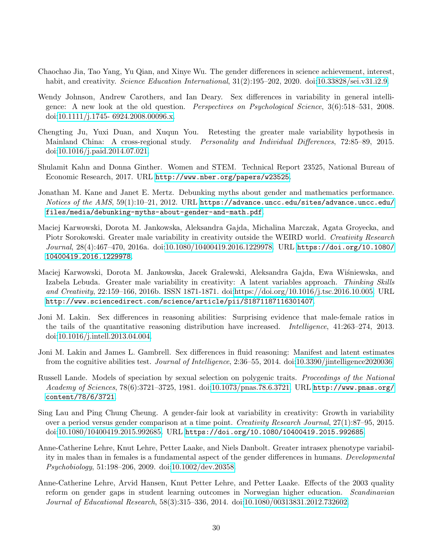- <span id="page-29-11"></span>Chaochao Jia, Tao Yang, Yu Qian, and Xinye Wu. The gender differences in science achievement, interest, habit, and creativity. Science Education International,  $31(2):195-202$ ,  $2020$ . doi[:10.33828/sei.v31.i2.9.](https://doi.org/10.33828/sei.v31.i2.9)
- <span id="page-29-2"></span>Wendy Johnson, Andrew Carothers, and Ian Deary. Sex differences in variability in general intelligence: A new look at the old question. Perspectives on Psychological Science, 3(6):518–531, 2008. doi[:10.1111/j.1745- 6924.2008.00096.x.](https://doi.org/10.1111/j.1745- 6924.2008.00096.x)
- <span id="page-29-7"></span>Chengting Ju, Yuxi Duan, and Xuqun You. Retesting the greater male variability hypothesis in Mainland China: A cross-regional study. Personality and Individual Differences, 72:85–89, 2015. doi[:10.1016/j.paid.2014.07.021.](https://doi.org/10.1016/j.paid.2014.07.021)
- <span id="page-29-10"></span>Shulamit Kahn and Donna Ginther. Women and STEM. Technical Report 23525, National Bureau of Economic Research, 2017. URL <http://www.nber.org/papers/w23525>.
- <span id="page-29-12"></span>Jonathan M. Kane and Janet E. Mertz. Debunking myths about gender and mathematics performance. Notices of the AMS,  $59(1):10-21$ ,  $2012$ . URL [https://advance.uncc.edu/sites/advance.uncc.edu/](https://advance.uncc.edu/sites/advance.uncc.edu/files/media/debunking-myths-about-gender-and-math.pdf) [files/media/debunking-myths-about-gender-and-math.pdf](https://advance.uncc.edu/sites/advance.uncc.edu/files/media/debunking-myths-about-gender-and-math.pdf).
- <span id="page-29-8"></span>Maciej Karwowski, Dorota M. Jankowska, Aleksandra Gajda, Michalina Marczak, Agata Groyecka, and Piotr Sorokowski. Greater male variability in creativity outside the WEIRD world. Creativity Research Journal, 28(4):467–470, 2016a. doi[:10.1080/10400419.2016.1229978.](https://doi.org/10.1080/10400419.2016.1229978) URL [https://doi.org/10.1080/](https://doi.org/10.1080/10400419.2016.1229978) [10400419.2016.1229978](https://doi.org/10.1080/10400419.2016.1229978).
- <span id="page-29-9"></span>Maciej Karwowski, Dorota M. Jankowska, Jacek Gralewski, Aleksandra Gajda, Ewa Wiśniewska, and Izabela Lebuda. Greater male variability in creativity: A latent variables approach. Thinking Skills and Creativity, 22:159–166, 2016b. ISSN 1871-1871. doi[:https://doi.org/10.1016/j.tsc.2016.10.005.](https://doi.org/https://doi.org/10.1016/j.tsc.2016.10.005) URL <http://www.sciencedirect.com/science/article/pii/S1871187116301407>.
- <span id="page-29-3"></span>Joni M. Lakin. Sex differences in reasoning abilities: Surprising evidence that male-female ratios in the tails of the quantitative reasoning distribution have increased. *Intelligence*, 41:263–274, 2013. doi[:10.1016/j.intell.2013.04.004.](https://doi.org/10.1016/j.intell.2013.04.004)
- <span id="page-29-4"></span>Joni M. Lakin and James L. Gambrell. Sex differences in fluid reasoning: Manifest and latent estimates from the cognitive abilities test. Journal of Intelligence, 2:36–55, 2014. doi[:10.3390/jintelligence2020036.](https://doi.org/10.3390/jintelligence2020036)
- <span id="page-29-0"></span>Russell Lande. Models of speciation by sexual selection on polygenic traits. Proceedings of the National Academy of Sciences, 78(6):3721–3725, 1981. doi[:10.1073/pnas.78.6.3721.](https://doi.org/10.1073/pnas.78.6.3721) URL [http://www.pnas.org/](http://www.pnas.org/content/78/6/3721) [content/78/6/3721](http://www.pnas.org/content/78/6/3721).
- <span id="page-29-6"></span>Sing Lau and Ping Chung Cheung. A gender-fair look at variability in creativity: Growth in variability over a period versus gender comparison at a time point. Creativity Research Journal, 27(1):87–95, 2015. doi[:10.1080/10400419.2015.992685.](https://doi.org/10.1080/10400419.2015.992685) URL <https://doi.org/10.1080/10400419.2015.992685>.
- <span id="page-29-1"></span>Anne-Catherine Lehre, Knut Lehre, Petter Laake, and Niels Danbolt. Greater intrasex phenotype variability in males than in females is a fundamental aspect of the gender differences in humans. Developmental Psychobiology, 51:198–206, 2009. doi[:10.1002/dev.20358.](https://doi.org/10.1002/dev.20358)
- <span id="page-29-5"></span>Anne-Catherine Lehre, Arvid Hansen, Knut Petter Lehre, and Petter Laake. Effects of the 2003 quality reform on gender gaps in student learning outcomes in Norwegian higher education. Scandinavian Journal of Educational Research, 58(3):315–336, 2014. doi[:10.1080/00313831.2012.732602.](https://doi.org/10.1080/00313831.2012.732602)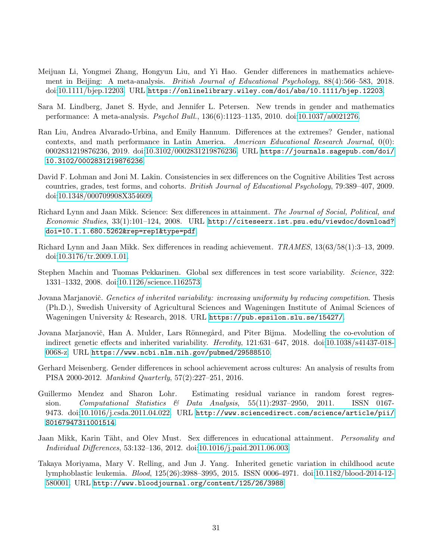- <span id="page-30-11"></span>Meijuan Li, Yongmei Zhang, Hongyun Liu, and Yi Hao. Gender differences in mathematics achievement in Beijing: A meta-analysis. British Journal of Educational Psychology, 88(4):566–583, 2018. doi[:10.1111/bjep.12203.](https://doi.org/10.1111/bjep.12203) URL <https://onlinelibrary.wiley.com/doi/abs/10.1111/bjep.12203>.
- <span id="page-30-7"></span>Sara M. Lindberg, Janet S. Hyde, and Jennifer L. Petersen. New trends in gender and mathematics performance: A meta-analysis. Psychol Bull., 136(6):1123–1135, 2010. doi[:10.1037/a0021276.](https://doi.org/10.1037/a0021276)
- <span id="page-30-12"></span>Ran Liu, Andrea Alvarado-Urbina, and Emily Hannum. Differences at the extremes? Gender, national contexts, and math performance in Latin America. American Educational Research Journal, 0(0): 0002831219876236, 2019. doi[:10.3102/0002831219876236.](https://doi.org/10.3102/0002831219876236) URL [https://journals.sagepub.com/doi/](https://journals.sagepub.com/doi/10.3102/0002831219876236) [10.3102/0002831219876236](https://journals.sagepub.com/doi/10.3102/0002831219876236).
- <span id="page-30-5"></span>David F. Lohman and Joni M. Lakin. Consistencies in sex differences on the Cognitive Abilities Test across countries, grades, test forms, and cohorts. British Journal of Educational Psychology, 79:389–407, 2009. doi[:10.1348/000709908X354609.](https://doi.org/10.1348/000709908X354609)
- <span id="page-30-3"></span>Richard Lynn and Jaan Mikk. Science: Sex differences in attainment. The Journal of Social, Political, and Economic Studies, 33(1):101–124, 2008. URL [http://citeseerx.ist.psu.edu/viewdoc/download?](http://citeseerx.ist.psu.edu/viewdoc/download?doi=10.1.1.680.5262&rep=rep1&type=pdf) [doi=10.1.1.680.5262&rep=rep1&type=pdf](http://citeseerx.ist.psu.edu/viewdoc/download?doi=10.1.1.680.5262&rep=rep1&type=pdf).
- <span id="page-30-6"></span>Richard Lynn and Jaan Mikk. Sex differences in reading achievement. TRAMES, 13(63/58(1):3–13, 2009. doi[:10.3176/tr.2009.1.01.](https://doi.org/10.3176/tr.2009.1.01)
- <span id="page-30-4"></span>Stephen Machin and Tuomas Pekkarinen. Global sex differences in test score variability. Science, 322: 1331–1332, 2008. doi[:10.1126/science.1162573.](https://doi.org/10.1126/science.1162573)
- <span id="page-30-2"></span>Jovana Marjanovič. Genetics of inherited variability: increasing uniformity by reducing competition. Thesis (Ph.D.), Swedish University of Agricultural Sciences and Wageningen Institute of Animal Sciences of Wageningen University & Research, 2018. URL <https://pub.epsilon.slu.se/15427/>.
- <span id="page-30-0"></span>Jovana Marjanovič, Han A. Mulder, Lars Rönnegård, and Piter Bijma. Modelling the co-evolution of indirect genetic effects and inherited variability. Heredity, 121:631–647, 2018. doi[:10.1038/s41437-018-](https://doi.org/10.1038/s41437-018-0068-z) [0068-z.](https://doi.org/10.1038/s41437-018-0068-z) URL <https://www.ncbi.nlm.nih.gov/pubmed/29588510>.
- <span id="page-30-10"></span>Gerhard Meisenberg. Gender differences in school achievement across cultures: An analysis of results from PISA 2000-2012. Mankind Quarterly, 57(2):227–251, 2016.
- <span id="page-30-8"></span>Guillermo Mendez and Sharon Lohr. Estimating residual variance in random forest regression. Computational Statistics & Data Analysis, 55(11):2937–2950, 2011. ISSN 0167- 9473. doi[:10.1016/j.csda.2011.04.022.](https://doi.org/10.1016/j.csda.2011.04.022) URL [http://www.sciencedirect.com/science/article/pii/](http://www.sciencedirect.com/science/article/pii/S0167947311001514) [S0167947311001514](http://www.sciencedirect.com/science/article/pii/S0167947311001514).
- <span id="page-30-9"></span>Jaan Mikk, Karin Täht, and Olev Must. Sex differences in educational attainment. Personality and Individual Differences, 53:132–136, 2012. doi[:10.1016/j.paid.2011.06.003.](https://doi.org/10.1016/j.paid.2011.06.003)
- <span id="page-30-1"></span>Takaya Moriyama, Mary V. Relling, and Jun J. Yang. Inherited genetic variation in childhood acute lymphoblastic leukemia. Blood, 125(26):3988–3995, 2015. ISSN 0006-4971. doi[:10.1182/blood-2014-12-](https://doi.org/10.1182/blood-2014-12-580001) [580001.](https://doi.org/10.1182/blood-2014-12-580001) URL <http://www.bloodjournal.org/content/125/26/3988>.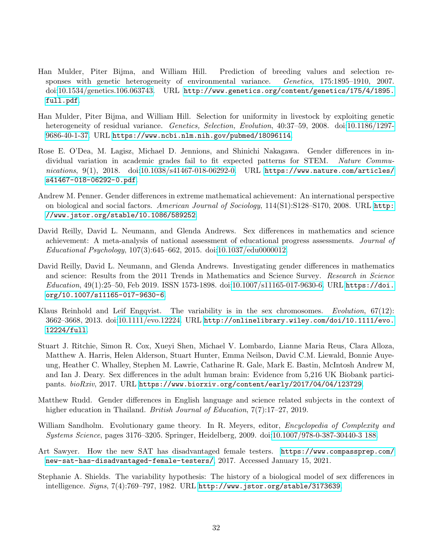- <span id="page-31-1"></span>Han Mulder, Piter Bijma, and William Hill. Prediction of breeding values and selection responses with genetic heterogeneity of environmental variance. Genetics, 175:1895–1910, 2007. doi[:10.1534/genetics.106.063743.](https://doi.org/10.1534/genetics.106.063743) URL [http://www.genetics.org/content/genetics/175/4/1895.](http://www.genetics.org/content/genetics/175/4/1895.full.pdf) [full.pdf](http://www.genetics.org/content/genetics/175/4/1895.full.pdf).
- <span id="page-31-2"></span>Han Mulder, Piter Bijma, and William Hill. Selection for uniformity in livestock by exploiting genetic heterogeneity of residual variance. Genetics, Selection, Evolution, 40:37–59, 2008. doi[:10.1186/1297-](https://doi.org/10.1186/1297-9686-40-1-37) [9686-40-1-37.](https://doi.org/10.1186/1297-9686-40-1-37) URL <https://www.ncbi.nlm.nih.gov/pubmed/18096114>.
- <span id="page-31-8"></span>Rose E. O'Dea, M. Lagisz, Michael D. Jennions, and Shinichi Nakagawa. Gender differences in individual variation in academic grades fail to fit expected patterns for STEM. Nature Commu $nications, 9(1), 2018.$  doi[:10.1038/s41467-018-06292-0.](https://doi.org/10.1038/s41467-018-06292-0) URL [https://www.nature.com/articles/](https://www.nature.com/articles/s41467-018-06292-0.pdf) [s41467-018-06292-0.pdf](https://www.nature.com/articles/s41467-018-06292-0.pdf).
- <span id="page-31-10"></span>Andrew M. Penner. Gender differences in extreme mathematical achievement: An international perspective on biological and social factors. American Journal of Sociology, 114(S1):S128-S170, 2008. URL [http:](http://www.jstor.org/stable/10.1086/589252) [//www.jstor.org/stable/10.1086/589252](http://www.jstor.org/stable/10.1086/589252).
- <span id="page-31-5"></span>David Reilly, David L. Neumann, and Glenda Andrews. Sex differences in mathematics and science achievement: A meta-analysis of national assessment of educational progress assessments. Journal of Educational Psychology, 107(3):645–662, 2015. doi[:10.1037/edu0000012.](https://doi.org/10.1037/edu0000012)
- <span id="page-31-9"></span>David Reilly, David L. Neumann, and Glenda Andrews. Investigating gender differences in mathematics and science: Results from the 2011 Trends in Mathematics and Science Survey. Research in Science  $Education, 49(1):25–50, Feb 2019. ISSN 1573-1898. doi:10.1007/s11165-017-9630-6. URL https://doi.$  $Education, 49(1):25–50, Feb 2019. ISSN 1573-1898. doi:10.1007/s11165-017-9630-6. URL https://doi.$  $Education, 49(1):25–50, Feb 2019. ISSN 1573-1898. doi:10.1007/s11165-017-9630-6. URL https://doi.$  $Education, 49(1):25–50, Feb 2019. ISSN 1573-1898. doi:10.1007/s11165-017-9630-6. URL https://doi.$ [org/10.1007/s11165-017-9630-6](https://doi.org/10.1007/s11165-017-9630-6).
- <span id="page-31-3"></span>Klaus Reinhold and Leif Engqvist. The variability is in the sex chromosomes. Evolution, 67(12): 3662–3668, 2013. doi[:10.1111/evo.12224.](https://doi.org/10.1111/evo.12224) URL [http://onlinelibrary.wiley.com/doi/10.1111/evo.](http://onlinelibrary.wiley.com/doi/10.1111/evo.12224/full) [12224/full](http://onlinelibrary.wiley.com/doi/10.1111/evo.12224/full).
- <span id="page-31-6"></span>Stuart J. Ritchie, Simon R. Cox, Xueyi Shen, Michael V. Lombardo, Lianne Maria Reus, Clara Alloza, Matthew A. Harris, Helen Alderson, Stuart Hunter, Emma Neilson, David C.M. Liewald, Bonnie Auyeung, Heather C. Whalley, Stephen M. Lawrie, Catharine R. Gale, Mark E. Bastin, McIntosh Andrew M, and Ian J. Deary. Sex differences in the adult human brain: Evidence from 5,216 UK Biobank participants. bioRxiv, 2017. URL <https://www.biorxiv.org/content/early/2017/04/04/123729>.
- <span id="page-31-11"></span>Matthew Rudd. Gender differences in English language and science related subjects in the context of higher education in Thailand. British Journal of Education, 7(7):17-27, 2019.
- <span id="page-31-4"></span>William Sandholm. Evolutionary game theory. In R. Meyers, editor, *Encyclopedia of Complexity and* Systems Science, pages 3176–3205. Springer, Heidelberg, 2009. doi[:10.1007/978-0-387-30440-3 188.](https://doi.org/10.1007/978-0-387-30440-3 188)
- <span id="page-31-7"></span>Art Sawyer. How the new SAT has disadvantaged female testers. [https://www.compassprep.com/](https://www.compassprep.com/new-sat-has-disadvantaged-female-testers/) [new-sat-has-disadvantaged-female-testers/](https://www.compassprep.com/new-sat-has-disadvantaged-female-testers/), 2017. Accessed January 15, 2021.
- <span id="page-31-0"></span>Stephanie A. Shields. The variability hypothesis: The history of a biological model of sex differences in intelligence. Signs, 7(4):769–797, 1982. URL <http://www.jstor.org/stable/3173639>.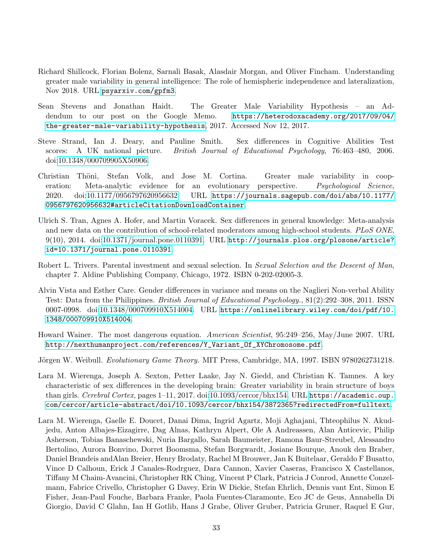- <span id="page-32-1"></span>Richard Shillcock, Florian Bolenz, Sarnali Basak, Alasdair Morgan, and Oliver Fincham. Understanding greater male variability in general intelligence: The role of hemispheric independence and lateralization, Nov 2018. URL <psyarxiv.com/gpfm3>.
- <span id="page-32-7"></span>Sean Stevens and Jonathan Haidt. The Greater Male Variability Hypothesis – an Addendum to our post on the Google Memo. [https://heterodoxacademy.org/2017/09/04/](https://heterodoxacademy.org/2017/09/04/the-greater-male-variability-hypothesis) [the-greater-male-variability-hypothesis](https://heterodoxacademy.org/2017/09/04/the-greater-male-variability-hypothesis), 2017. Accessed Nov 12, 2017.
- <span id="page-32-4"></span>Steve Strand, Ian J. Deary, and Pauline Smith. Sex differences in Cognitive Abilities Test scores: A UK national picture. British Journal of Educational Psychology, 76:463–480, 2006. doi[:10.1348/000709905X50906.](https://doi.org/10.1348/000709905X50906)
- <span id="page-32-9"></span>Christian Thöni, Stefan Volk, and Jose M. Cortina. Greater male variability in cooperation: Meta-analytic evidence for an evolutionary perspective. *Psychological Science*, 2020. doi[:10.1177/0956797620956632.](https://doi.org/10.1177/0956797620956632) URL [https://journals.sagepub.com/doi/abs/10.1177/](https://journals.sagepub.com/doi/abs/10.1177/0956797620956632#articleCitationDownloadContainer) [0956797620956632#articleCitationDownloadContainer](https://journals.sagepub.com/doi/abs/10.1177/0956797620956632#articleCitationDownloadContainer).
- <span id="page-32-6"></span>Ulrich S. Tran, Agnes A. Hofer, and Martin Voracek. Sex differences in general knowledge: Meta-analysis and new data on the contribution of school-related moderators among high-school students. PLoS ONE, 9(10), 2014. doi[:10.1371/journal.pone.0110391.](https://doi.org/10.1371/journal.pone.0110391) URL [http://journals.plos.org/plosone/article?](http://journals.plos.org/plosone/article?id=10.1371/journal.pone.0110391) [id=10.1371/journal.pone.0110391](http://journals.plos.org/plosone/article?id=10.1371/journal.pone.0110391).
- <span id="page-32-3"></span>Robert L. Trivers. Parental investment and sexual selection. In Sexual Selection and the Descent of Man, chapter 7. Aldine Publishing Company, Chicago, 1972. ISBN 0-202-02005-3.
- <span id="page-32-5"></span>Alvin Vista and Esther Care. Gender differences in variance and means on the Naglieri Non-verbal Ability Test: Data from the Philippines. British Journal of Educational Psychology., 81(2):292–308, 2011. ISSN 0007-0998. doi[:10.1348/000709910X514004.](https://doi.org/10.1348/000709910X514004) URL [https://onlinelibrary.wiley.com/doi/pdf/10.](https://onlinelibrary.wiley.com/doi/pdf/10.1348/000709910X514004) [1348/000709910X514004](https://onlinelibrary.wiley.com/doi/pdf/10.1348/000709910X514004).
- <span id="page-32-0"></span>Howard Wainer. The most dangerous equation. American Scientist, 95:249–256, May/June 2007. URL [http://nexthumanproject.com/references/Y\\_Variant\\_Of\\_XYChromosome.pdf](http://nexthumanproject.com/references/Y_Variant_Of_XYChromosome.pdf).
- <span id="page-32-2"></span>Jörgen W. Weibull. *Evolutionary Game Theory*. MIT Press, Cambridge, MA, 1997. ISBN 9780262731218.
- <span id="page-32-8"></span>Lara M. Wierenga, Joseph A. Sexton, Petter Laake, Jay N. Giedd, and Christian K. Tamnes. A key characteristic of sex differences in the developing brain: Greater variability in brain structure of boys than girls. Cerebral Cortex, pages 1–11, 2017. doi[:10.1093/cercor/bhx154.](https://doi.org/10.1093/cercor/bhx154) URL [https://academic.oup.](https://academic.oup.com/cercor/article-abstract/doi/10.1093/cercor/bhx154/3872365?redirectedFrom=fulltext) [com/cercor/article-abstract/doi/10.1093/cercor/bhx154/3872365?redirectedFrom=fulltext](https://academic.oup.com/cercor/article-abstract/doi/10.1093/cercor/bhx154/3872365?redirectedFrom=fulltext).
- <span id="page-32-10"></span>Lara M. Wierenga, Gaelle E. Doucet, Danai Dima, Ingrid Agartz, Moji Aghajani, Thteophilus N. Akudjedu, Anton Albajes-Eizagirre, Dag Alnas, Kathryn Alpert, Ole A Andreassen, Alan Anticevic, Philip Asherson, Tobias Banaschewski, Nuria Bargallo, Sarah Baumeister, Ramona Baur-Streubel, Alessandro Bertolino, Aurora Bonvino, Dorret Boomsma, Stefan Borgwardt, Josiane Bourque, Anouk den Braber, Daniel Brandeis andAlan Breier, Henry Brodaty, Rachel M Brouwer, Jan K Buitelaar, Geraldo F Busatto, Vince D Calhoun, Erick J Canales-Rodrguez, Dara Cannon, Xavier Caseras, Francisco X Castellanos, Tiffany M Chaim-Avancini, Christopher RK Ching, Vincent P Clark, Patricia J Conrod, Annette Conzelmann, Fabrice Crivello, Christopher G Davey, Erin W Dickie, Stefan Ehrlich, Dennis vant Ent, Simon E Fisher, Jean-Paul Fouche, Barbara Franke, Paola Fuentes-Claramonte, Eco JC de Geus, Annabella Di Giorgio, David C Glahn, Ian H Gotlib, Hans J Grabe, Oliver Gruber, Patricia Gruner, Raquel E Gur,